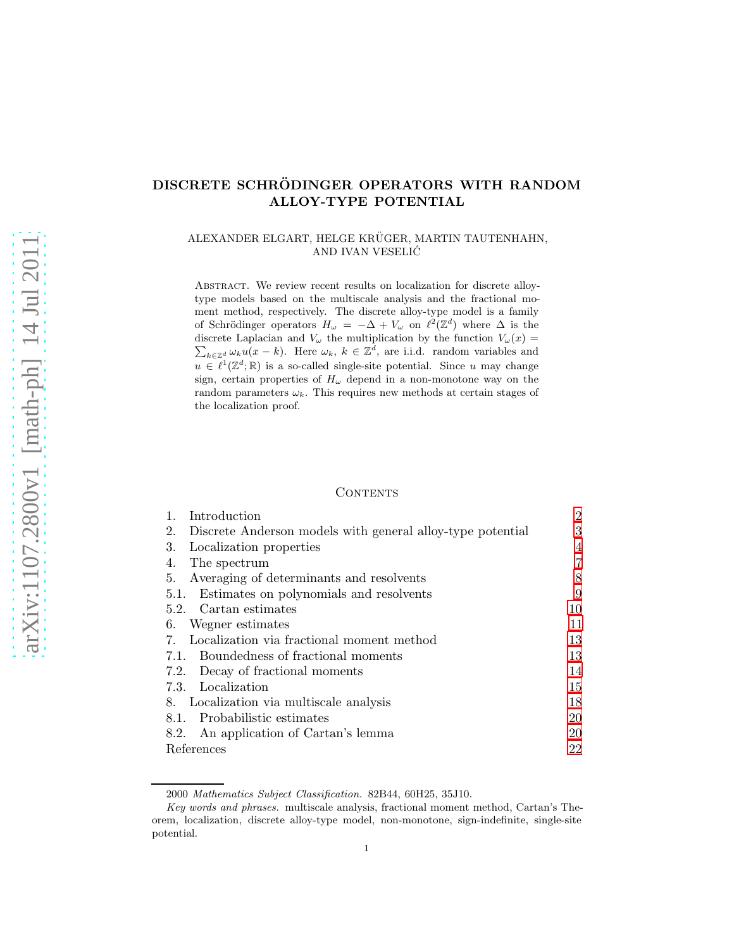# DISCRETE SCHRÖDINGER OPERATORS WITH RANDOM ALLOY-TYPE POTENTIAL

## ALEXANDER ELGART, HELGE KRÜGER, MARTIN TAUTENHAHN, AND IVAN VESELIC´

Abstract. We review recent results on localization for discrete alloytype models based on the multiscale analysis and the fractional moment method, respectively. The discrete alloy-type model is a family of Schrödinger operators  $H_{\omega} = -\Delta + V_{\omega}$  on  $\ell^2(\mathbb{Z}^d)$  where  $\Delta$  is the  $\sum_{k \in \mathbb{Z}^d} \omega_k u(x - k)$ . Here  $\omega_k, k \in \mathbb{Z}^d$ , are i.i.d. random variables and discrete Laplacian and  $V_{\omega}$  the multiplication by the function  $V_{\omega}(x)$  =  $u \in \ell^1(\mathbb{Z}^d;\mathbb{R})$  is a so-called single-site potential. Since u may change sign, certain properties of  $H_{\omega}$  depend in a non-monotone way on the random parameters  $\omega_k$ . This requires new methods at certain stages of the localization proof.

#### **CONTENTS**

| Introduction                                                     | $\overline{2}$ |
|------------------------------------------------------------------|----------------|
| Discrete Anderson models with general alloy-type potential<br>2. | 3              |
| 3.<br>Localization properties                                    | 4              |
| The spectrum<br>4.                                               |                |
| Averaging of determinants and resolvents<br>5.                   | 8              |
| 5.1. Estimates on polynomials and resolvents                     | 9              |
| 5.2. Cartan estimates                                            | 10             |
| Wegner estimates<br>6.                                           | 11             |
| Localization via fractional moment method<br>7.                  | 13             |
| Boundedness of fractional moments<br>7.1.                        | 13             |
| 7.2. Decay of fractional moments                                 | 14             |
| 7.3. Localization                                                | 15             |
| Localization via multiscale analysis<br>8.                       | 18             |
| 8.1. Probabilistic estimates                                     | 20             |
| 8.2. An application of Cartan's lemma                            | 20             |
| References                                                       | 22             |

<sup>2000</sup> Mathematics Subject Classification. 82B44, 60H25, 35J10.

Key words and phrases. multiscale analysis, fractional moment method, Cartan's Theorem, localization, discrete alloy-type model, non-monotone, sign-indefinite, single-site potential.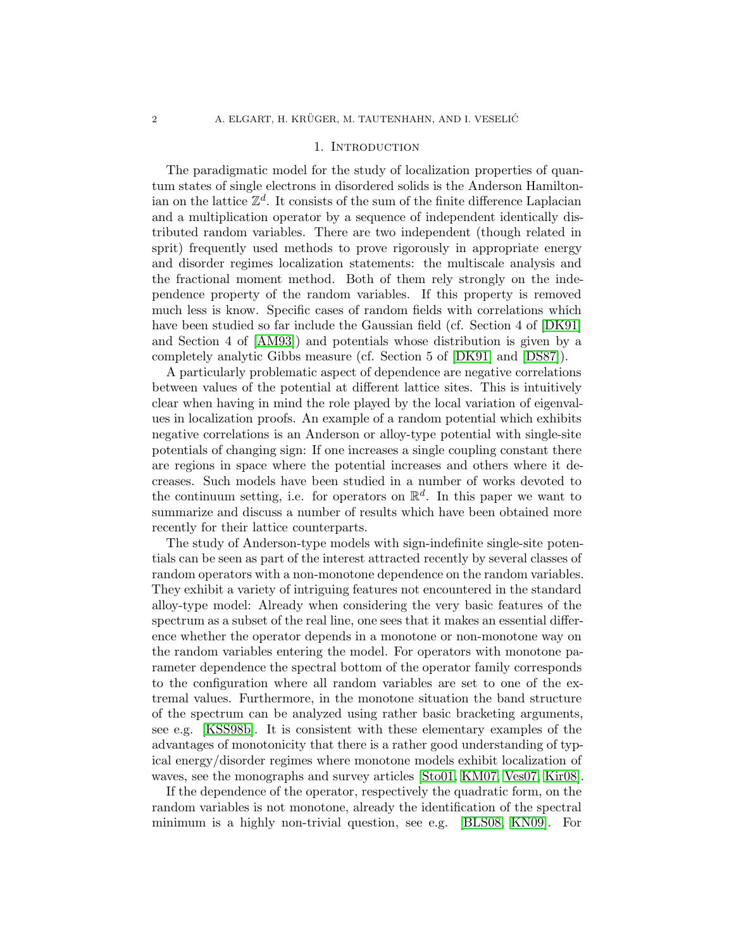#### 1. INTRODUCTION

<span id="page-1-0"></span>The paradigmatic model for the study of localization properties of quantum states of single electrons in disordered solids is the Anderson Hamiltonian on the lattice  $\mathbb{Z}^d$ . It consists of the sum of the finite difference Laplacian and a multiplication operator by a sequence of independent identically distributed random variables. There are two independent (though related in sprit) frequently used methods to prove rigorously in appropriate energy and disorder regimes localization statements: the multiscale analysis and the fractional moment method. Both of them rely strongly on the independence property of the random variables. If this property is removed much less is know. Specific cases of random fields with correlations which have been studied so far include the Gaussian field (cf. Section 4 of  $[DK91]$ ) and Section 4 of [\[AM93\]](#page-21-2)) and potentials whose distribution is given by a completely analytic Gibbs measure (cf. Section 5 of [\[DK91\]](#page-21-1) and [\[DS87\]](#page-22-0)).

A particularly problematic aspect of dependence are negative correlations between values of the potential at different lattice sites. This is intuitively clear when having in mind the role played by the local variation of eigenvalues in localization proofs. An example of a random potential which exhibits negative correlations is an Anderson or alloy-type potential with single-site potentials of changing sign: If one increases a single coupling constant there are regions in space where the potential increases and others where it decreases. Such models have been studied in a number of works devoted to the continuum setting, i.e. for operators on  $\mathbb{R}^d$ . In this paper we want to summarize and discuss a number of results which have been obtained more recently for their lattice counterparts.

The study of Anderson-type models with sign-indefinite single-site potentials can be seen as part of the interest attracted recently by several classes of random operators with a non-monotone dependence on the random variables. They exhibit a variety of intriguing features not encountered in the standard alloy-type model: Already when considering the very basic features of the spectrum as a subset of the real line, one sees that it makes an essential difference whether the operator depends in a monotone or non-monotone way on the random variables entering the model. For operators with monotone parameter dependence the spectral bottom of the operator family corresponds to the configuration where all random variables are set to one of the extremal values. Furthermore, in the monotone situation the band structure of the spectrum can be analyzed using rather basic bracketing arguments, see e.g. [\[KSS98b\]](#page-23-0). It is consistent with these elementary examples of the advantages of monotonicity that there is a rather good understanding of typical energy/disorder regimes where monotone models exhibit localization of waves, see the monographs and survey articles [\[Sto01,](#page-23-1) [KM07,](#page-22-1) [Ves07,](#page-24-0) [Kir08\]](#page-22-2).

If the dependence of the operator, respectively the quadratic form, on the random variables is not monotone, already the identification of the spectral minimum is a highly non-trivial question, see e.g. [\[BLS08,](#page-21-3) [KN09\]](#page-23-2). For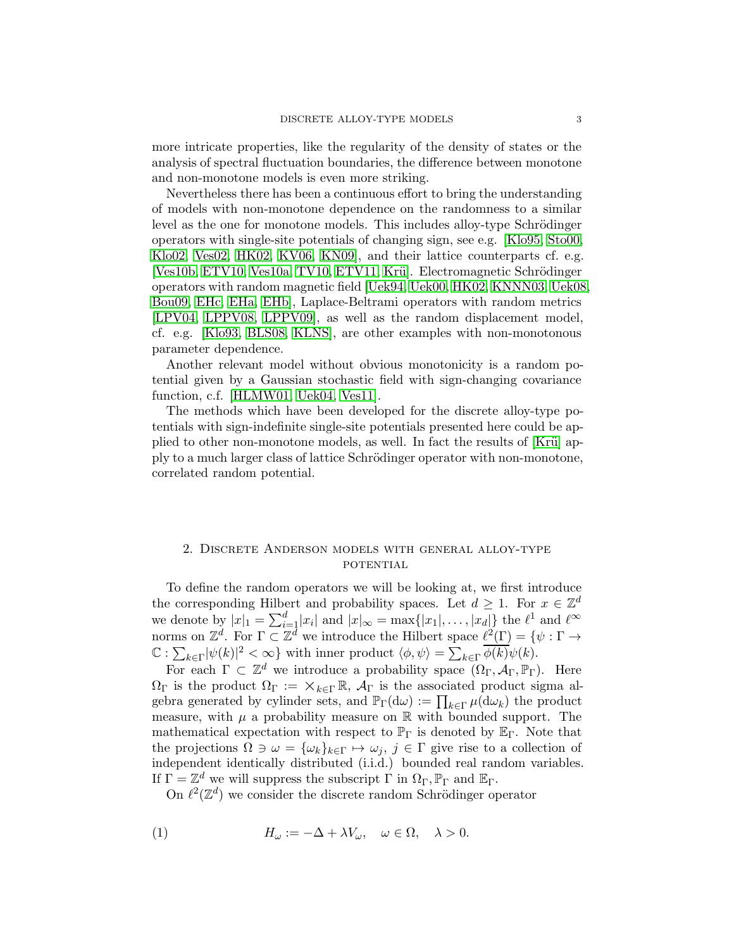more intricate properties, like the regularity of the density of states or the analysis of spectral fluctuation boundaries, the difference between monotone and non-monotone models is even more striking.

Nevertheless there has been a continuous effort to bring the understanding of models with non-monotone dependence on the randomness to a similar level as the one for monotone models. This includes alloy-type Schrödinger operators with single-site potentials of changing sign, see e.g. [\[Klo95,](#page-22-3) [Sto00,](#page-23-3) [Klo02,](#page-22-4) [Ves02,](#page-24-1) [HK02,](#page-22-5) [KV06,](#page-23-4) [KN09\]](#page-23-2), and their lattice counterparts cf. e.g. [\[Ves10b,](#page-24-2) [ETV10,](#page-22-6) [Ves10a,](#page-24-3) [TV10,](#page-23-5) [ETV11,](#page-22-7) Krü]. Electromagnetic Schrödinger operators with random magnetic field [\[Uek94,](#page-23-7) [Uek00,](#page-23-8) [HK02,](#page-22-5) [KNNN03,](#page-23-9) [Uek08,](#page-24-4) [Bou09,](#page-21-4) [EHc,](#page-22-8) [EHa,](#page-22-9) [EHb\]](#page-22-10), Laplace-Beltrami operators with random metrics [\[LPV04,](#page-23-10) [LPPV08,](#page-23-11) [LPPV09\]](#page-23-12), as well as the random displacement model, cf. e.g. [\[Klo93,](#page-22-11) [BLS08,](#page-21-3) [KLNS\]](#page-22-12), are other examples with non-monotonous parameter dependence.

Another relevant model without obvious monotonicity is a random potential given by a Gaussian stochastic field with sign-changing covariance function, c.f. [\[HLMW01,](#page-22-13) [Uek04,](#page-23-13) [Ves11\]](#page-24-5).

The methods which have been developed for the discrete alloy-type potentials with sign-indefinite single-site potentials presented here could be applied to other non-monotone models, as well. In fact the results of  $\operatorname{Kriil}$  apply to a much larger class of lattice Schrödinger operator with non-monotone, correlated random potential.

## <span id="page-2-0"></span>2. Discrete Anderson models with general alloy-type **POTENTIAL**

To define the random operators we will be looking at, we first introduce the corresponding Hilbert and probability spaces. Let  $d \geq 1$ . For  $x \in \mathbb{Z}^d$ we denote by  $|x|_1 = \sum_{i=1}^d |x_i|$  and  $|x|_{\infty} = \max\{|x_1|, \ldots, |x_d|\}$  the  $\ell^1$  and  $\ell^{\infty}$ norms on  $\mathbb{Z}^d$ . For  $\Gamma \subset \mathbb{Z}^d$  we introduce the Hilbert space  $\ell^2(\Gamma) = \{ \psi : \Gamma \to \mathbb{Z}^d \}$  $\mathbb{C}: \sum_{k\in\Gamma} |\psi(k)|^2 < \infty$  with inner product  $\langle \phi, \psi \rangle = \sum_{k\in\Gamma} \overline{\phi(k)} \psi(k)$ .

For each  $\Gamma \subset \mathbb{Z}^d$  we introduce a probability space  $(\Omega_{\Gamma}, \mathcal{A}_{\Gamma}, \mathbb{P}_{\Gamma})$ . Here  $\Omega_{\Gamma}$  is the product  $\Omega_{\Gamma} := \times_{k \in \Gamma} \mathbb{R}, \mathcal{A}_{\Gamma}$  is the associated product sigma algebra generated by cylinder sets, and  $\mathbb{P}_{\Gamma}(\mathrm{d}\omega) := \prod_{k \in \Gamma} \mu(\mathrm{d}\omega_k)$  the product measure, with  $\mu$  a probability measure on  $\mathbb R$  with bounded support. The mathematical expectation with respect to  $\mathbb{P}_{\Gamma}$  is denoted by  $\mathbb{E}_{\Gamma}$ . Note that the projections  $\Omega \ni \omega = {\{\omega_k\}_{k \in \Gamma} \mapsto \omega_j, \, j \in \Gamma \text{ give rise to a collection of}}$ independent identically distributed (i.i.d.) bounded real random variables. If  $\Gamma = \mathbb{Z}^d$  we will suppress the subscript  $\Gamma$  in  $\Omega_{\Gamma}, \mathbb{P}_{\Gamma}$  and  $\mathbb{E}_{\Gamma}$ .

<span id="page-2-1"></span>On  $\ell^2(\mathbb{Z}^d)$  we consider the discrete random Schrödinger operator

(1) 
$$
H_{\omega} := -\Delta + \lambda V_{\omega}, \quad \omega \in \Omega, \quad \lambda > 0.
$$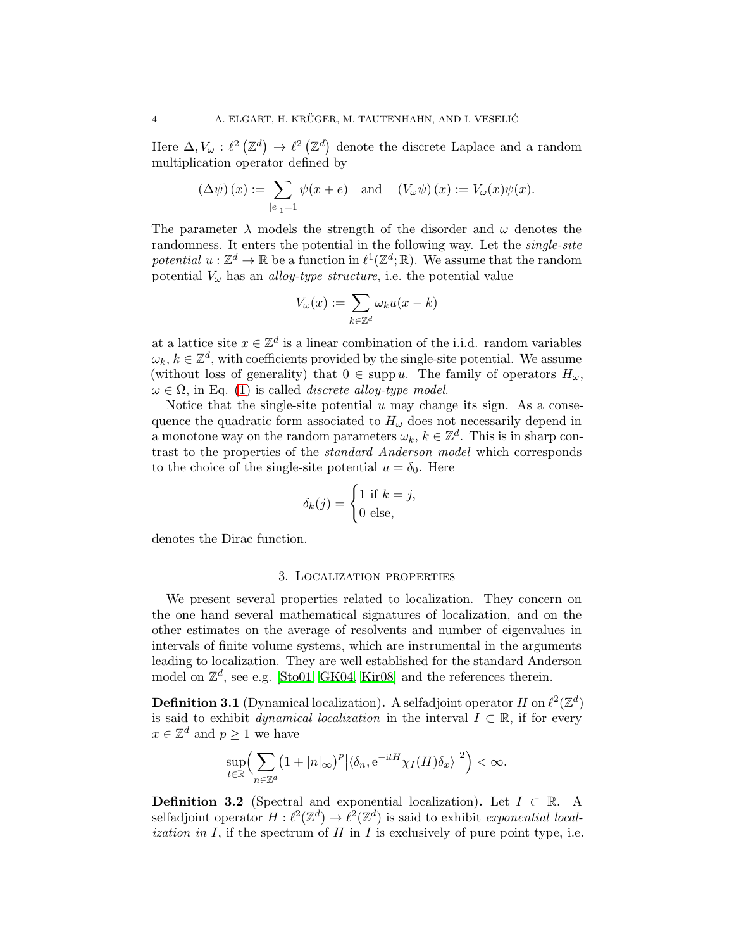Here  $\Delta, V_{\omega} : \ell^2 \left( \mathbb{Z}^d \right) \to \ell^2 \left( \mathbb{Z}^d \right)$  denote the discrete Laplace and a random multiplication operator defined by

$$
(\Delta \psi)(x) := \sum_{|e|_1 = 1} \psi(x + e) \quad \text{and} \quad (V_{\omega} \psi)(x) := V_{\omega}(x)\psi(x).
$$

The parameter  $\lambda$  models the strength of the disorder and  $\omega$  denotes the randomness. It enters the potential in the following way. Let the *single-site* potential  $u : \mathbb{Z}^d \to \mathbb{R}$  be a function in  $\ell^1(\mathbb{Z}^d;\mathbb{R})$ . We assume that the random potential  $V_{\omega}$  has an *alloy-type structure*, i.e. the potential value

$$
V_{\omega}(x) := \sum_{k \in \mathbb{Z}^d} \omega_k u(x - k)
$$

at a lattice site  $x \in \mathbb{Z}^d$  is a linear combination of the i.i.d. random variables  $\omega_k, k \in \mathbb{Z}^d$ , with coefficients provided by the single-site potential. We assume (without loss of generality) that  $0 \in \text{supp } u$ . The family of operators  $H_{\omega}$ ,  $\omega \in \Omega$ , in Eq. [\(1\)](#page-2-1) is called *discrete alloy-type model*.

Notice that the single-site potential  $u$  may change its sign. As a consequence the quadratic form associated to  $H_{\omega}$  does not necessarily depend in a monotone way on the random parameters  $\omega_k, k \in \mathbb{Z}^d$ . This is in sharp contrast to the properties of the standard Anderson model which corresponds to the choice of the single-site potential  $u = \delta_0$ . Here

$$
\delta_k(j) = \begin{cases} 1 \text{ if } k = j, \\ 0 \text{ else,} \end{cases}
$$

<span id="page-3-0"></span>denotes the Dirac function.

#### 3. Localization properties

We present several properties related to localization. They concern on the one hand several mathematical signatures of localization, and on the other estimates on the average of resolvents and number of eigenvalues in intervals of finite volume systems, which are instrumental in the arguments leading to localization. They are well established for the standard Anderson model on  $\mathbb{Z}^d$ , see e.g. [\[Sto01,](#page-23-1) [GK04,](#page-22-14) [Kir08\]](#page-22-2) and the references therein.

**Definition 3.1** (Dynamical localization). A selfadjoint operator H on  $\ell^2(\mathbb{Z}^d)$ is said to exhibit *dynamical localization* in the interval  $I \subset \mathbb{R}$ , if for every  $x \in \mathbb{Z}^d$  and  $p \geq 1$  we have

$$
\sup_{t\in\mathbb{R}}\Big(\sum_{n\in\mathbb{Z}^d}\big(1+|n|_{\infty}\big)^p\big|\langle\delta_n,\mathrm{e}^{-\mathrm{i}tH}\chi_I(H)\delta_x\rangle\big|^2\Big)<\infty.
$$

**Definition 3.2** (Spectral and exponential localization). Let  $I \subset \mathbb{R}$ . A selfadjoint operator  $H: \ell^2(\mathbb{Z}^d) \to \ell^2(\mathbb{Z}^d)$  is said to exhibit exponential local*ization in I*, if the spectrum of  $H$  in  $I$  is exclusively of pure point type, i.e.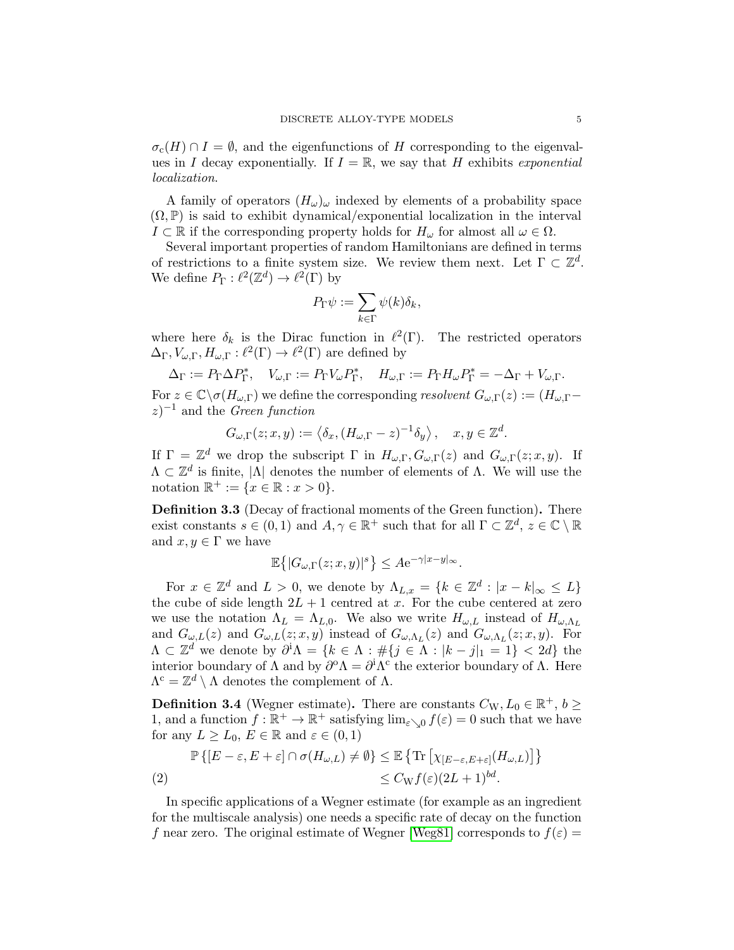$\sigma_{c}(H) \cap I = \emptyset$ , and the eigenfunctions of H corresponding to the eigenvalues in I decay exponentially. If  $I = \mathbb{R}$ , we say that H exhibits exponential localization.

A family of operators  $(H_{\omega})_{\omega}$  indexed by elements of a probability space  $(\Omega, \mathbb{P})$  is said to exhibit dynamical/exponential localization in the interval  $I \subset \mathbb{R}$  if the corresponding property holds for  $H_{\omega}$  for almost all  $\omega \in \Omega$ .

Several important properties of random Hamiltonians are defined in terms of restrictions to a finite system size. We review them next. Let  $\Gamma \subset \mathbb{Z}^d$ . We define  $P_{\Gamma}: \ell^2(\mathbb{Z}^d) \to \ell^2(\Gamma)$  by

$$
P_{\Gamma}\psi := \sum_{k \in \Gamma} \psi(k)\delta_k,
$$

where here  $\delta_k$  is the Dirac function in  $\ell^2$ The restricted operators  $\Delta_{\Gamma}, V_{\omega,\Gamma}, H_{\omega,\Gamma}: \ell^2(\Gamma) \to \ell^2(\Gamma)$  are defined by

$$
\Delta_{\Gamma} := P_{\Gamma} \Delta P_{\Gamma}^*, \quad V_{\omega, \Gamma} := P_{\Gamma} V_{\omega} P_{\Gamma}^*, \quad H_{\omega, \Gamma} := P_{\Gamma} H_{\omega} P_{\Gamma}^* = -\Delta_{\Gamma} + V_{\omega, \Gamma}.
$$

For  $z \in \mathbb{C} \backslash \sigma(H_{\omega,\Gamma})$  we define the corresponding resolvent  $G_{\omega,\Gamma}(z) := (H_{\omega,\Gamma} (z)^{-1}$  and the *Green function* 

$$
G_{\omega,\Gamma}(z;x,y):=\left\langle \delta_x,(H_{\omega,\Gamma}-z)^{-1}\delta_y\right\rangle,\quad x,y\in\mathbb{Z}^d.
$$

If  $\Gamma = \mathbb{Z}^d$  we drop the subscript  $\Gamma$  in  $H_{\omega,\Gamma}, G_{\omega,\Gamma}(z)$  and  $G_{\omega,\Gamma}(z;x,y)$ . If  $\Lambda \subset \mathbb{Z}^d$  is finite,  $|\Lambda|$  denotes the number of elements of  $\Lambda$ . We will use the notation  $\mathbb{R}^+ := \{x \in \mathbb{R} : x > 0\}.$ 

<span id="page-4-1"></span>Definition 3.3 (Decay of fractional moments of the Green function). There exist constants  $s \in (0,1)$  and  $A, \gamma \in \mathbb{R}^+$  such that for all  $\Gamma \subset \mathbb{Z}^d$ ,  $z \in \mathbb{C} \setminus \mathbb{R}$ and  $x, y \in \Gamma$  we have

$$
\mathbb{E}\left\{|G_{\omega,\Gamma}(z;x,y)|^s\right\} \le A e^{-\gamma|x-y|_{\infty}}.
$$

For  $x \in \mathbb{Z}^d$  and  $L > 0$ , we denote by  $\Lambda_{L,x} = \{k \in \mathbb{Z}^d : |x - k|_{\infty} \le L\}$ the cube of side length  $2L + 1$  centred at x. For the cube centered at zero we use the notation  $\Lambda_L = \Lambda_{L,0}$ . We also we write  $H_{\omega,L}$  instead of  $H_{\omega,\Lambda_L}$ and  $G_{\omega,L}(z)$  and  $G_{\omega,L}(z;x,y)$  instead of  $G_{\omega,\Lambda_L}(z)$  and  $G_{\omega,\Lambda_L}(z;x,y)$ . For  $\Lambda \subset \mathbb{Z}^d$  we denote by  $\partial^i \Lambda = \{k \in \Lambda : \# \{j \in \Lambda : |k - j|_1 = 1\} < 2d\}$  the interior boundary of  $\Lambda$  and by  $\partial^{\circ} \Lambda = \partial^i \Lambda^c$  the exterior boundary of  $\Lambda$ . Here  $\Lambda^c = \mathbb{Z}^d \setminus \Lambda$  denotes the complement of  $\Lambda$ .

**Definition 3.4** (Wegner estimate). There are constants  $C_{W}, L_0 \in \mathbb{R}^+, b \geq 0$ 1, and a function  $f : \mathbb{R}^+ \to \mathbb{R}^+$  satisfying  $\lim_{\varepsilon \to 0} f(\varepsilon) = 0$  such that we have for any  $L \geq L_0, E \in \mathbb{R}$  and  $\varepsilon \in (0,1)$ 

<span id="page-4-0"></span>
$$
\mathbb{P}\left\{ [E-\varepsilon, E+\varepsilon] \cap \sigma(H_{\omega,L}) \neq \emptyset \right\} \leq \mathbb{E}\left\{ \text{Tr}\left[ \chi_{[E-\varepsilon, E+\varepsilon]}(H_{\omega,L}) \right] \right\}
$$
\n
$$
\leq C_{\mathcal{W}} f(\varepsilon) (2L+1)^{bd}.
$$

In specific applications of a Wegner estimate (for example as an ingredient for the multiscale analysis) one needs a specific rate of decay on the function f near zero. The original estimate of Wegner [\[Weg81\]](#page-24-6) corresponds to  $f(\varepsilon)$  =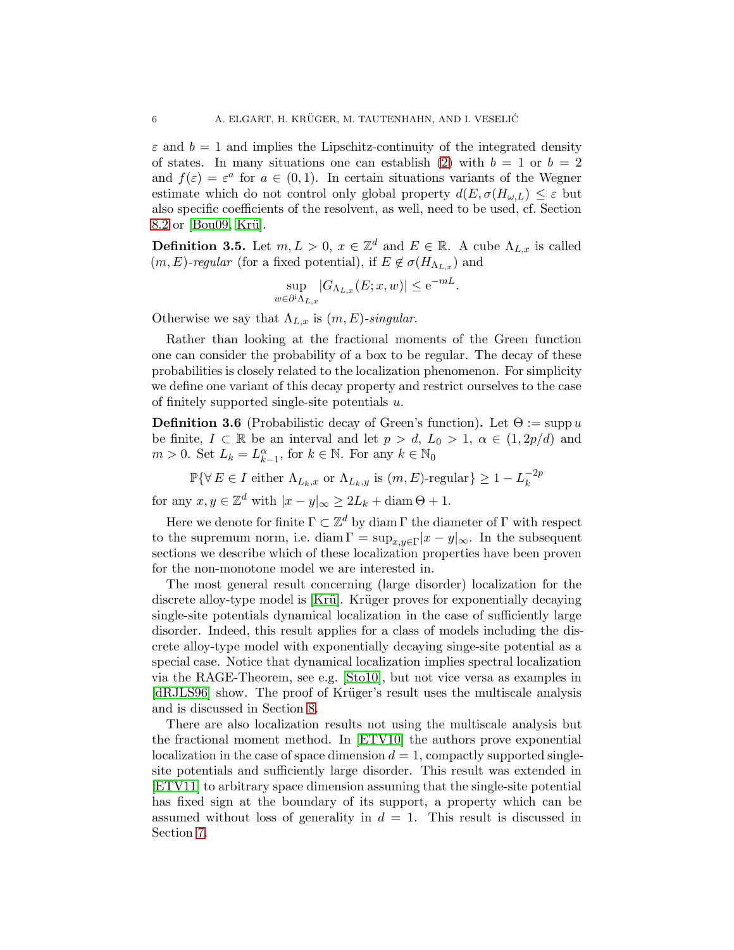$\varepsilon$  and  $b = 1$  and implies the Lipschitz-continuity of the integrated density of states. In many situations one can establish [\(2\)](#page-4-0) with  $b = 1$  or  $b = 2$ and  $f(\varepsilon) = \varepsilon^a$  for  $a \in (0,1)$ . In certain situations variants of the Wegner estimate which do not control only global property  $d(E, \sigma(H_{\omega,L}) \leq \varepsilon$  but also specific coefficients of the resolvent, as well, need to be used, cf. Section  $8.2$  or [\[Bou09,](#page-21-4) Krü].

**Definition 3.5.** Let  $m, L > 0$ ,  $x \in \mathbb{Z}^d$  and  $E \in \mathbb{R}$ . A cube  $\Lambda_{L,x}$  is called  $(m, E)$ -regular (for a fixed potential), if  $E \not\in \sigma(H_{\Lambda_{L,x}})$  and

$$
\sup_{w \in \partial^i \Lambda_{L,x}} |G_{\Lambda_{L,x}}(E; x, w)| \le e^{-mL}.
$$

Otherwise we say that  $\Lambda_{L,x}$  is  $(m, E)$ -singular.

Rather than looking at the fractional moments of the Green function one can consider the probability of a box to be regular. The decay of these probabilities is closely related to the localization phenomenon. For simplicity we define one variant of this decay property and restrict ourselves to the case of finitely supported single-site potentials  $u$ .

**Definition 3.6** (Probabilistic decay of Green's function). Let  $\Theta := \text{supp } u$ be finite,  $I \subset \mathbb{R}$  be an interval and let  $p > d$ ,  $L_0 > 1$ ,  $\alpha \in (1, 2p/d)$  and  $m > 0$ . Set  $L_k = L_{k-1}^{\alpha}$ , for  $k \in \mathbb{N}$ . For any  $k \in \mathbb{N}_0$ 

 $\mathbb{P}\{\forall E \in I \text{ either } \Lambda_{L_k,x} \text{ or } \Lambda_{L_k,y} \text{ is } (m, E)\text{-regular}\} \geq 1 - L_k^{-2p}$ 

for any  $x, y \in \mathbb{Z}^d$  with  $|x - y|_{\infty} \ge 2L_k + \text{diam}\,\Theta + 1$ .

Here we denote for finite  $\Gamma \subset \mathbb{Z}^d$  by diam  $\Gamma$  the diameter of  $\Gamma$  with respect to the supremum norm, i.e. diam  $\Gamma = \sup_{x,y \in \Gamma} |x - y|_{\infty}$ . In the subsequent sections we describe which of these localization properties have been proven for the non-monotone model we are interested in.

The most general result concerning (large disorder) localization for the discrete alloy-type model is [Krü]. Krüger proves for exponentially decaying single-site potentials dynamical localization in the case of sufficiently large disorder. Indeed, this result applies for a class of models including the discrete alloy-type model with exponentially decaying singe-site potential as a special case. Notice that dynamical localization implies spectral localization via the RAGE-Theorem, see e.g. [\[Sto10\]](#page-23-14), but not vice versa as examples in [\[dRJLS96\]](#page-22-15) show. The proof of Krüger's result uses the multiscale analysis and is discussed in Section [8.](#page-17-0)

There are also localization results not using the multiscale analysis but the fractional moment method. In [\[ETV10\]](#page-22-6) the authors prove exponential localization in the case of space dimension  $d = 1$ , compactly supported singlesite potentials and sufficiently large disorder. This result was extended in [\[ETV11\]](#page-22-7) to arbitrary space dimension assuming that the single-site potential has fixed sign at the boundary of its support, a property which can be assumed without loss of generality in  $d = 1$ . This result is discussed in Section [7.](#page-12-0)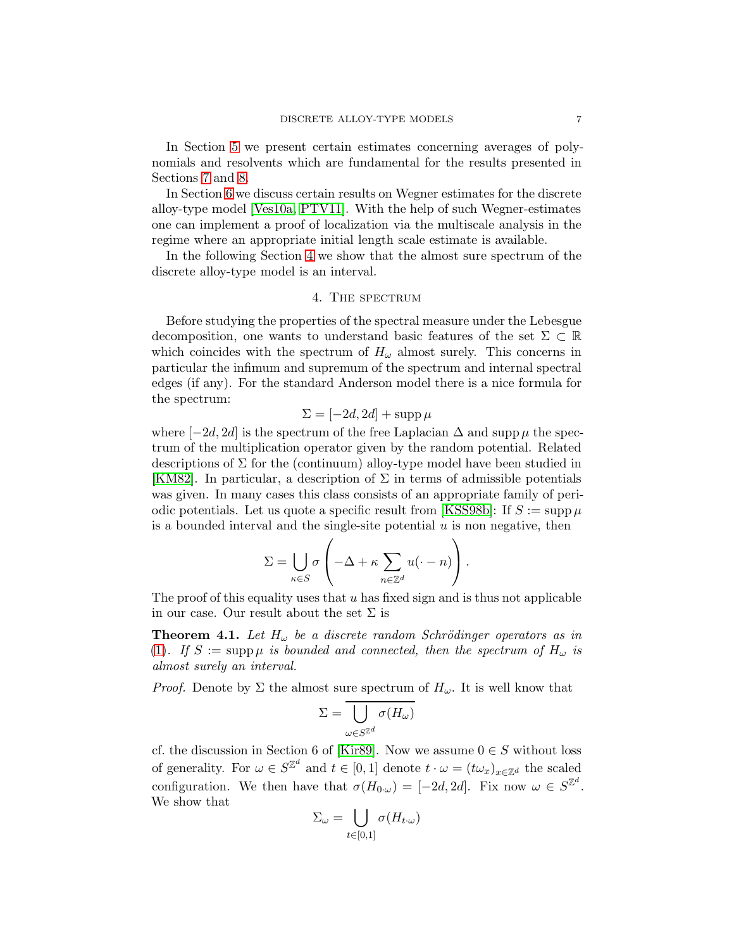In Section [5](#page-7-0) we present certain estimates concerning averages of polynomials and resolvents which are fundamental for the results presented in Sections [7](#page-12-0) and [8.](#page-17-0)

In Section [6](#page-10-0) we discuss certain results on Wegner estimates for the discrete alloy-type model [\[Ves10a,](#page-24-3) [PTV11\]](#page-23-15). With the help of such Wegner-estimates one can implement a proof of localization via the multiscale analysis in the regime where an appropriate initial length scale estimate is available.

<span id="page-6-0"></span>In the following Section [4](#page-6-0) we show that the almost sure spectrum of the discrete alloy-type model is an interval.

## 4. The spectrum

Before studying the properties of the spectral measure under the Lebesgue decomposition, one wants to understand basic features of the set  $\Sigma \subset \mathbb{R}$ which coincides with the spectrum of  $H_{\omega}$  almost surely. This concerns in particular the infimum and supremum of the spectrum and internal spectral edges (if any). For the standard Anderson model there is a nice formula for the spectrum:

$$
\Sigma = [-2d, 2d] + \operatorname{supp} \mu
$$

where  $[-2d, 2d]$  is the spectrum of the free Laplacian  $\Delta$  and supp  $\mu$  the spectrum of the multiplication operator given by the random potential. Related descriptions of  $\Sigma$  for the (continuum) alloy-type model have been studied in [\[KM82\]](#page-22-16). In particular, a description of  $\Sigma$  in terms of admissible potentials was given. In many cases this class consists of an appropriate family of peri-odic potentials. Let us quote a specific result from [\[KSS98b\]](#page-23-0): If  $S := \text{supp }\mu$ is a bounded interval and the single-site potential  $u$  is non negative, then

$$
\Sigma = \bigcup_{\kappa \in S} \sigma \left( -\Delta + \kappa \sum_{n \in \mathbb{Z}^d} u(\cdot - n) \right).
$$

The proof of this equality uses that  $u$  has fixed sign and is thus not applicable in our case. Our result about the set  $\Sigma$  is

**Theorem 4.1.** Let  $H_{\omega}$  be a discrete random Schrödinger operators as in [\(1\)](#page-2-1). If  $S := \text{supp}\,\mu$  is bounded and connected, then the spectrum of  $H_{\omega}$  is almost surely an interval.

*Proof.* Denote by  $\Sigma$  the almost sure spectrum of  $H_{\omega}$ . It is well know that

$$
\Sigma = \bigcup_{\omega \in S^{\mathbb{Z}^d}} \sigma(H_\omega)
$$

cf. the discussion in Section 6 of [\[Kir89\]](#page-22-17). Now we assume  $0 \in S$  without loss of generality. For  $\omega \in S^{\mathbb{Z}^d}$  and  $t \in [0,1]$  denote  $t \cdot \omega = (t\omega_x)_{x \in \mathbb{Z}^d}$  the scaled configuration. We then have that  $\sigma(H_{0\cdot\omega}) = [-2d, 2d]$ . Fix now  $\omega \in S^{\mathbb{Z}^d}$ . We show that

$$
\Sigma_{\omega} = \bigcup_{t \in [0,1]} \sigma(H_{t \cdot \omega})
$$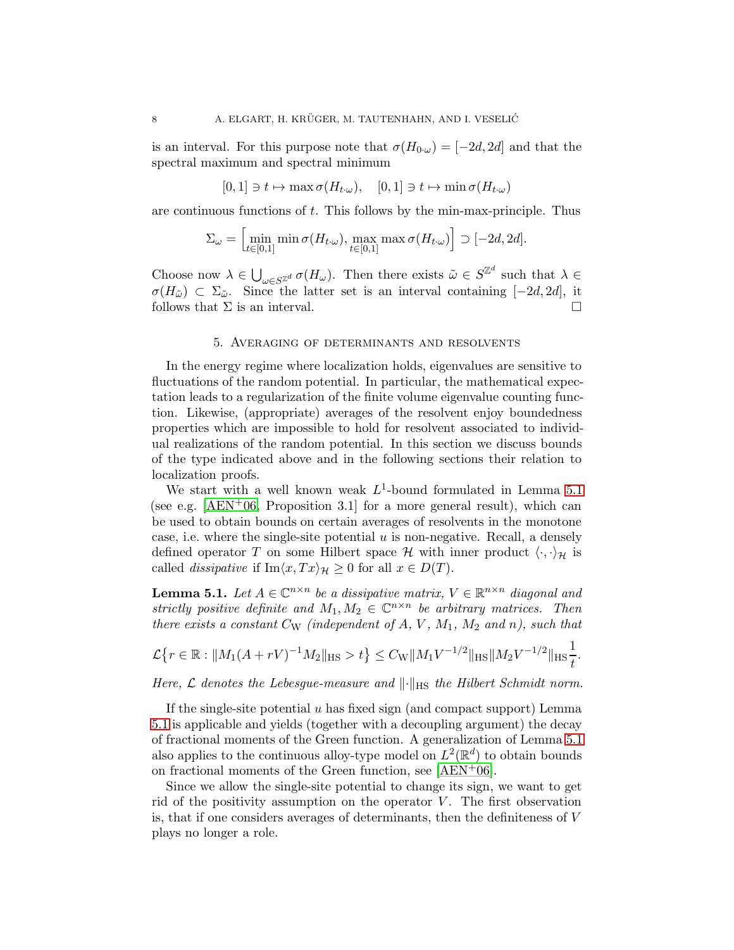is an interval. For this purpose note that  $\sigma(H_{0\cdot\omega}) = [-2d, 2d]$  and that the spectral maximum and spectral minimum

$$
[0,1] \ni t \mapsto \max \sigma(H_{t\cdot\omega}), \quad [0,1] \ni t \mapsto \min \sigma(H_{t\cdot\omega})
$$

are continuous functions of t. This follows by the min-max-principle. Thus

$$
\Sigma_{\omega} = \left[ \min_{t \in [0,1]} \min \sigma(H_{t \cdot \omega}), \max_{t \in [0,1]} \max \sigma(H_{t \cdot \omega}) \right] \supset [-2d, 2d].
$$

Choose now  $\lambda \in \bigcup_{\omega \in S^{\mathbb{Z}^d}} \sigma(H_\omega)$ . Then there exists  $\tilde{\omega} \in S^{\mathbb{Z}^d}$  such that  $\lambda \in$  $\sigma(H_{\tilde{\omega}}) \subset \Sigma_{\tilde{\omega}}$ . Since the latter set is an interval containing  $[-2d, 2d]$ , it follows that  $\Sigma$  is an interval.

#### 5. Averaging of determinants and resolvents

<span id="page-7-0"></span>In the energy regime where localization holds, eigenvalues are sensitive to fluctuations of the random potential. In particular, the mathematical expectation leads to a regularization of the finite volume eigenvalue counting function. Likewise, (appropriate) averages of the resolvent enjoy boundedness properties which are impossible to hold for resolvent associated to individual realizations of the random potential. In this section we discuss bounds of the type indicated above and in the following sections their relation to localization proofs.

We start with a well known weak  $L^1$ -bound formulated in Lemma [5.1](#page-7-1) (see e.g.  $[AEN<sup>+</sup>06, Proposition 3.1]$  for a more general result), which can be used to obtain bounds on certain averages of resolvents in the monotone case, i.e. where the single-site potential  $u$  is non-negative. Recall, a densely defined operator T on some Hilbert space H with inner product  $\langle \cdot, \cdot \rangle_{\mathcal{H}}$  is called *dissipative* if  $\text{Im}\langle x, Tx \rangle_{\mathcal{H}} \geq 0$  for all  $x \in D(T)$ .

<span id="page-7-1"></span>**Lemma 5.1.** Let  $A \in \mathbb{C}^{n \times n}$  be a dissipative matrix,  $V \in \mathbb{R}^{n \times n}$  diagonal and strictly positive definite and  $M_1, M_2 \in \mathbb{C}^{n \times n}$  be arbitrary matrices. Then there exists a constant  $C_W$  (independent of A, V,  $M_1$ ,  $M_2$  and n), such that

$$
\mathcal{L}\big\{r \in \mathbb{R} : \|M_1(A + rV)^{-1}M_2\|_{\text{HS}} > t\big\} \le C_{\text{W}} \|M_1V^{-1/2}\|_{\text{HS}} \|M_2V^{-1/2}\|_{\text{HS}} \frac{1}{t}.
$$

Here,  $\mathcal L$  denotes the Lebesque-measure and  $\lVert \cdot \rVert_{\text{HS}}$  the Hilbert Schmidt norm.

If the single-site potential u has fixed sign (and compact support) Lemma [5.1](#page-7-1) is applicable and yields (together with a decoupling argument) the decay of fractional moments of the Green function. A generalization of Lemma [5.1](#page-7-1) also applies to the continuous alloy-type model on  $L^2(\mathbb{R}^d)$  to obtain bounds on fractional moments of the Green function, see [\[AEN](#page-21-5)+06].

Since we allow the single-site potential to change its sign, we want to get rid of the positivity assumption on the operator  $V$ . The first observation is, that if one considers averages of determinants, then the definiteness of V plays no longer a role.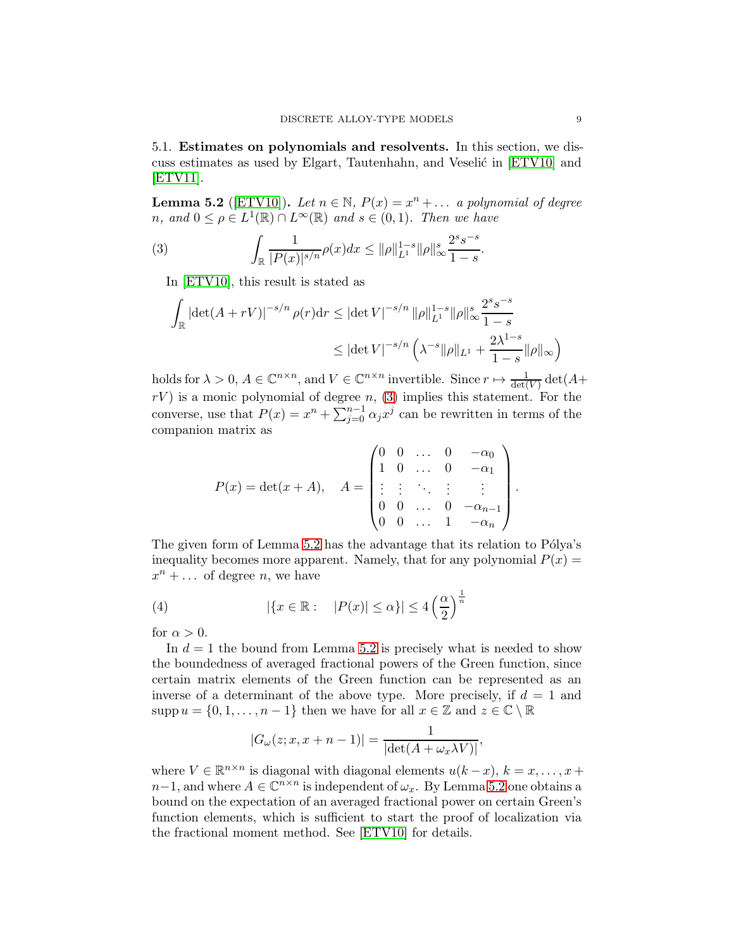<span id="page-8-0"></span>5.1. Estimates on polynomials and resolvents. In this section, we dis-cuss estimates as used by Elgart, Tautenhahn, and Veselić in [\[ETV10\]](#page-22-6) and [\[ETV11\]](#page-22-7).

<span id="page-8-2"></span>**Lemma 5.2** ([\[ETV10\]](#page-22-6)). Let  $n \in \mathbb{N}$ ,  $P(x) = x^n + \dots$  a polynomial of degree n, and  $0 \le \rho \in L^1(\mathbb{R}) \cap L^{\infty}(\mathbb{R})$  and  $s \in (0,1)$ . Then we have

(3) 
$$
\int_{\mathbb{R}} \frac{1}{|P(x)|^{s/n}} \rho(x) dx \leq ||\rho||_{L^{1}}^{1-s} ||\rho||_{\infty}^{s} \frac{2^{s} s^{-s}}{1-s}.
$$

<span id="page-8-1"></span>In [\[ETV10\]](#page-22-6), this result is stated as

$$
\int_{\mathbb{R}} \left| \det(A + rV) \right|^{-s/n} \rho(r) dr \leq \left| \det V \right|^{-s/n} \|\rho\|_{L^{1}}^{1-s} \|\rho\|_{\infty}^{s} \frac{2^{s} s^{-s}}{1-s}
$$
  

$$
\leq \left| \det V \right|^{-s/n} \left( \lambda^{-s} \|\rho\|_{L^{1}} + \frac{2\lambda^{1-s}}{1-s} \|\rho\|_{\infty} \right)
$$

holds for  $\lambda > 0$ ,  $A \in \mathbb{C}^{n \times n}$ , and  $V \in \mathbb{C}^{n \times n}$  invertible. Since  $r \mapsto \frac{1}{\det(V)} \det(A +$  $rV$ ) is a monic polynomial of degree n, [\(3\)](#page-8-1) implies this statement. For the converse, use that  $P(x) = x^n + \sum_{j=0}^{n-1} \alpha_j x^j$  can be rewritten in terms of the companion matrix as

$$
P(x) = \det(x+A), \quad A = \begin{pmatrix} 0 & 0 & \dots & 0 & -\alpha_0 \\ 1 & 0 & \dots & 0 & -\alpha_1 \\ \vdots & \vdots & \ddots & \vdots & \vdots \\ 0 & 0 & \dots & 0 & -\alpha_{n-1} \\ 0 & 0 & \dots & 1 & -\alpha_n \end{pmatrix}
$$

The given form of Lemma  $5.2$  has the advantage that its relation to Pólya's inequality becomes more apparent. Namely, that for any polynomial  $P(x) =$  $x^n + \ldots$  of degree *n*, we have

(4) 
$$
|\{x \in \mathbb{R} : |P(x)| \le \alpha\}| \le 4\left(\frac{\alpha}{2}\right)^{\frac{1}{n}}
$$

for  $\alpha > 0$ .

In  $d = 1$  the bound from Lemma [5.2](#page-8-2) is precisely what is needed to show the boundedness of averaged fractional powers of the Green function, since certain matrix elements of the Green function can be represented as an inverse of a determinant of the above type. More precisely, if  $d = 1$  and supp  $u = \{0, 1, \ldots, n-1\}$  then we have for all  $x \in \mathbb{Z}$  and  $z \in \mathbb{C} \setminus \mathbb{R}$ 

$$
|G_{\omega}(z;x,x+n-1)| = \frac{1}{|\det(A + \omega_x \lambda V)|},
$$

where  $V \in \mathbb{R}^{n \times n}$  is diagonal with diagonal elements  $u(k-x)$ ,  $k = x, \ldots, x +$  $n-1$ , and where  $A \in \mathbb{C}^{n \times n}$  is independent of  $\omega_x$ . By Lemma [5.2](#page-8-2) one obtains a bound on the expectation of an averaged fractional power on certain Green's function elements, which is sufficient to start the proof of localization via the fractional moment method. See [\[ETV10\]](#page-22-6) for details.

.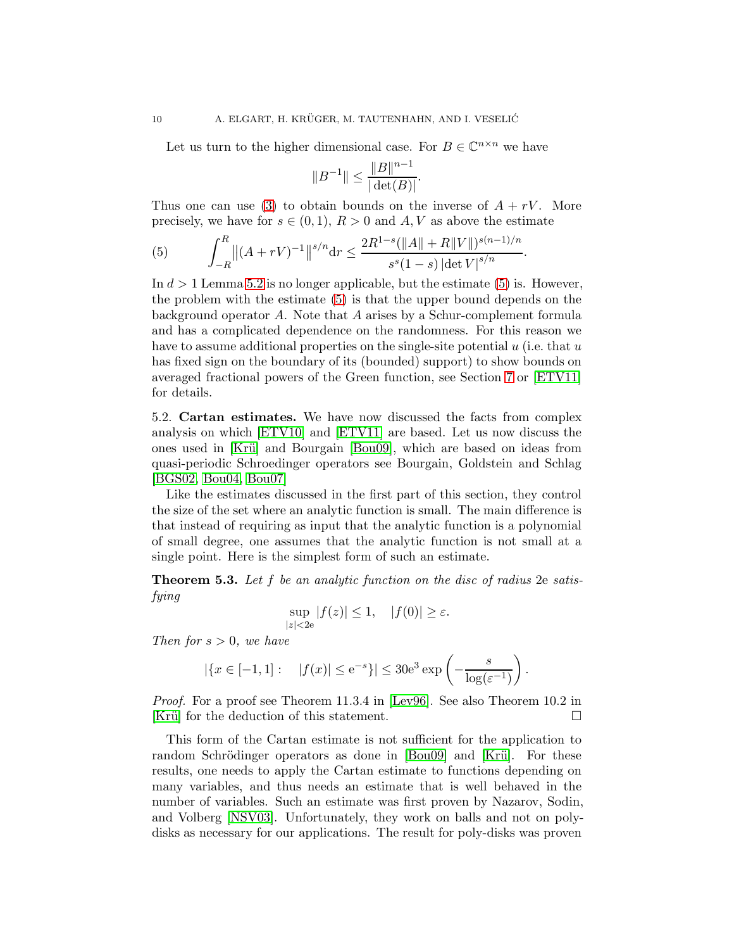Let us turn to the higher dimensional case. For  $B \in \mathbb{C}^{n \times n}$  we have

$$
||B^{-1}|| \le \frac{||B||^{n-1}}{|\det(B)|}.
$$

Thus one can use [\(3\)](#page-8-1) to obtain bounds on the inverse of  $A + rV$ . More precisely, we have for  $s \in (0,1)$ ,  $R > 0$  and  $A, V$  as above the estimate

<span id="page-9-1"></span>(5) 
$$
\int_{-R}^{R} \left\| (A + rV)^{-1} \right\|^{s/n} dr \leq \frac{2R^{1-s} (\|A\| + R\|V\|)^{s(n-1)/n}}{s^s (1-s) |\det V|^{s/n}}.
$$

In  $d > 1$  Lemma [5.2](#page-8-2) is no longer applicable, but the estimate [\(5\)](#page-9-1) is. However, the problem with the estimate [\(5\)](#page-9-1) is that the upper bound depends on the background operator A. Note that A arises by a Schur-complement formula and has a complicated dependence on the randomness. For this reason we have to assume additional properties on the single-site potential  $u$  (i.e. that  $u$ ) has fixed sign on the boundary of its (bounded) support) to show bounds on averaged fractional powers of the Green function, see Section [7](#page-12-0) or [\[ETV11\]](#page-22-7) for details.

<span id="page-9-0"></span>5.2. Cartan estimates. We have now discussed the facts from complex analysis on which [\[ETV10\]](#page-22-6) and [\[ETV11\]](#page-22-7) are based. Let us now discuss the ones used in [Krü] and Bourgain [\[Bou09\]](#page-21-4), which are based on ideas from quasi-periodic Schroedinger operators see Bourgain, Goldstein and Schlag [\[BGS02,](#page-21-6) [Bou04,](#page-21-7) [Bou07\]](#page-21-8)

Like the estimates discussed in the first part of this section, they control the size of the set where an analytic function is small. The main difference is that instead of requiring as input that the analytic function is a polynomial of small degree, one assumes that the analytic function is not small at a single point. Here is the simplest form of such an estimate.

**Theorem 5.3.** Let  $f$  be an analytic function on the disc of radius 2e satisfying

$$
\sup_{|z|<2\mathrm{e}}|f(z)|\leq 1,\quad |f(0)|\geq\varepsilon.
$$

Then for  $s > 0$ , we have

$$
|\{x \in [-1, 1]:
$$
  $|f(x)| \le e^{-s}\}| \le 30e^3 \exp\left(-\frac{s}{\log(\varepsilon^{-1})}\right).$ 

Proof. For a proof see Theorem 11.3.4 in [\[Lev96\]](#page-23-16). See also Theorem 10.2 in [Krü] for the deduction of this statement.  $\square$ 

This form of the Cartan estimate is not sufficient for the application to random Schrödinger operators as done in [\[Bou09\]](#page-21-4) and [Krü]. For these results, one needs to apply the Cartan estimate to functions depending on many variables, and thus needs an estimate that is well behaved in the number of variables. Such an estimate was first proven by Nazarov, Sodin, and Volberg [\[NSV03\]](#page-23-17). Unfortunately, they work on balls and not on polydisks as necessary for our applications. The result for poly-disks was proven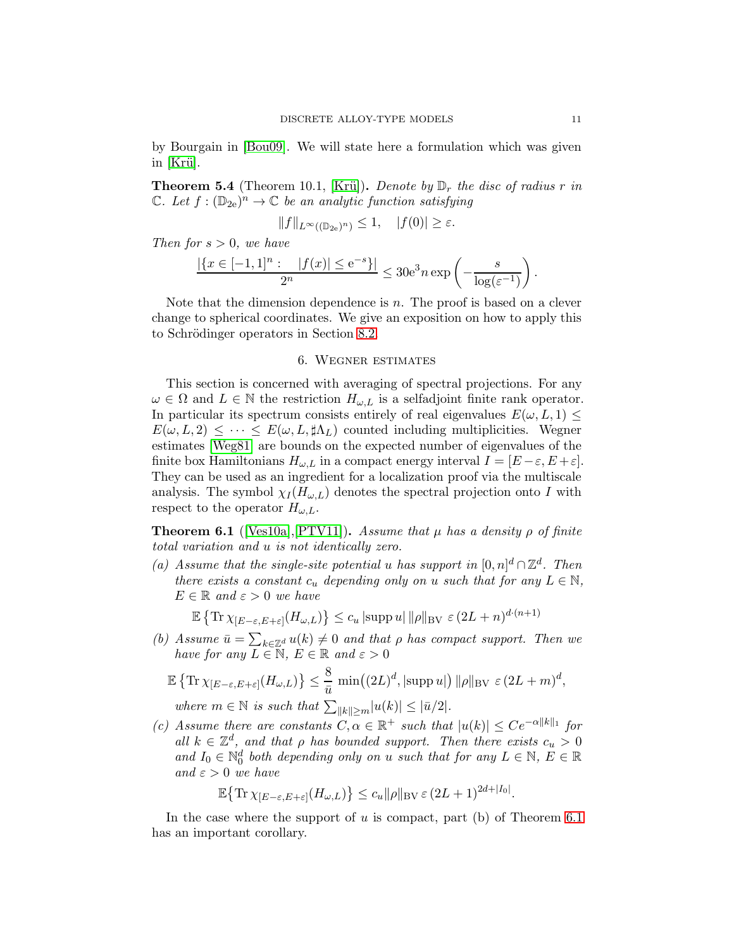by Bourgain in [\[Bou09\]](#page-21-4). We will state here a formulation which was given in [Krü].

**Theorem 5.4** (Theorem 10.1, [Krü]). Denote by  $\mathbb{D}_r$  the disc of radius r in  $\mathbb{C}.$  Let  $f: (\mathbb{D}_{2e})^n \to \mathbb{C}$  be an analytic function satisfying

$$
||f||_{L^{\infty}((\mathbb{D}_{2e})^n)} \leq 1, \quad |f(0)| \geq \varepsilon.
$$

Then for  $s > 0$ , we have

$$
\frac{|\{x \in [-1,1]^n : |f(x)| \le e^{-s}\}|}{2^n} \le 30e^3 n \exp\left(-\frac{s}{\log(\varepsilon^{-1})}\right).
$$

Note that the dimension dependence is  $n$ . The proof is based on a clever change to spherical coordinates. We give an exposition on how to apply this to Schrödinger operators in Section [8.2.](#page-19-1)

#### 6. Wegner estimates

<span id="page-10-0"></span>This section is concerned with averaging of spectral projections. For any  $\omega \in \Omega$  and  $L \in \mathbb{N}$  the restriction  $H_{\omega,L}$  is a selfadjoint finite rank operator. In particular its spectrum consists entirely of real eigenvalues  $E(\omega, L, 1) \leq$  $E(\omega, L, 2) \leq \cdots \leq E(\omega, L, \sharp \Lambda_L)$  counted including multiplicities. Wegner estimates [\[Weg81\]](#page-24-6) are bounds on the expected number of eigenvalues of the finite box Hamiltonians  $H_{\omega,L}$  in a compact energy interval  $I = [E - \varepsilon, E + \varepsilon]$ . They can be used as an ingredient for a localization proof via the multiscale analysis. The symbol  $\chi_I(H_{\omega,L})$  denotes the spectral projection onto I with respect to the operator  $H_{\omega,L}$ .

<span id="page-10-1"></span>**Theorem 6.1** ([\[Ves10a\]](#page-24-3), [\[PTV11\]](#page-23-15)). Assume that  $\mu$  has a density  $\rho$  of finite total variation and u is not identically zero.

(a) Assume that the single-site potential u has support in  $[0,n]^d \cap \mathbb{Z}^d$ . Then there exists a constant  $c_u$  depending only on u such that for any  $L \in \mathbb{N}$ ,  $E \in \mathbb{R}$  and  $\varepsilon > 0$  we have

$$
\mathbb{E}\left\{\text{Tr}\,\chi_{[E-\varepsilon,E+\varepsilon]}(H_{\omega,L})\right\}\leq c_u\,\big|\text{supp}\,u\big|\,\|\rho\|_{\text{BV}}\,\varepsilon\,(2L+n)^{d\cdot(n+1)}
$$

(b) Assume  $\bar{u} = \sum_{k \in \mathbb{Z}^d} u(k) \neq 0$  and that  $\rho$  has compact support. Then we have for any  $L \in \mathbb{N}$ ,  $E \in \mathbb{R}$  and  $\varepsilon > 0$ 

$$
\mathbb{E}\left\{\text{Tr}\,\chi_{[E-\varepsilon,E+\varepsilon]}(H_{\omega,L})\right\} \leq \frac{8}{\bar{u}}\min\bigl((2L)^d, |\text{supp }u|\bigr)\,\|\rho\|_{\text{BV}}\,\varepsilon\,(2L+m)^d,
$$
\nwhere  $m \in \mathbb{N}$  is such that  $\sum_{\|k\| \geq m} |u(k)| \leq |\bar{u}/2|$ .

(c) Assume there are constants  $C, \alpha \in \mathbb{R}^+$  such that  $|u(k)| \leq Ce^{-\alpha ||k||_1}$  for all  $k \in \mathbb{Z}^d$ , and that  $\rho$  has bounded support. Then there exists  $c_u > 0$ and  $I_0 \in \mathbb{N}_0^d$  both depending only on u such that for any  $L \in \mathbb{N}$ ,  $E \in \mathbb{R}$ and  $\varepsilon > 0$  we have

$$
\mathbb{E}\left\{\text{Tr}\,\chi_{[E-\varepsilon,E+\varepsilon]}(H_{\omega,L})\right\}\leq c_u\|\rho\|_{\text{BV}}\,\varepsilon\,(2L+1)^{2d+|I_0|}
$$

.

In the case where the support of  $u$  is compact, part (b) of Theorem [6.1](#page-10-1) has an important corollary.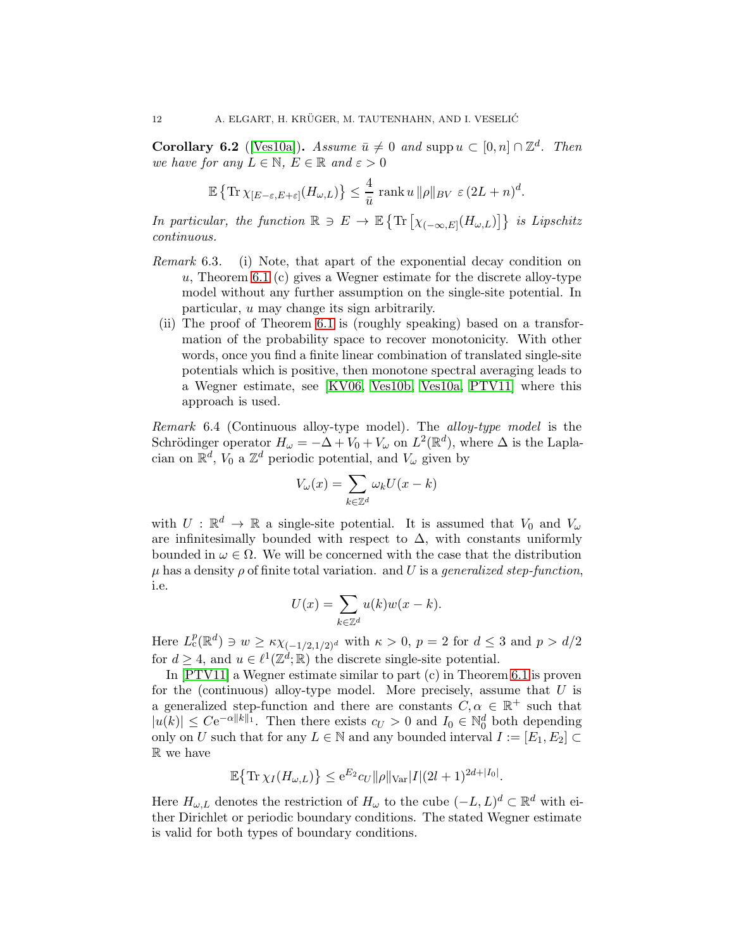**Corollary 6.2** ([\[Ves10a\]](#page-24-3)). Assume  $\bar{u} \neq 0$  and supp  $u \subset [0, n] \cap \mathbb{Z}^d$ . Then we have for any  $L \in \mathbb{N}$ ,  $E \in \mathbb{R}$  and  $\varepsilon > 0$ 

$$
\mathbb{E}\left\{\text{Tr}\,\chi_{[E-\varepsilon,E+\varepsilon]}(H_{\omega,L})\right\} \leq \frac{4}{\bar{u}}\,\,\text{rank}\,u\,\|\rho\|_{BV}\,\,\varepsilon\,(2L+n)^d.
$$

In particular, the function  $\mathbb{R} \ni E \to \mathbb{E} \{ \text{Tr} \left[ \chi_{(-\infty,E]}(H_{\omega,L}) \right] \}$  is Lipschitz continuous.

- Remark 6.3. (i) Note, that apart of the exponential decay condition on u, Theorem [6.1](#page-10-1) (c) gives a Wegner estimate for the discrete alloy-type model without any further assumption on the single-site potential. In particular, u may change its sign arbitrarily.
- (ii) The proof of Theorem [6.1](#page-10-1) is (roughly speaking) based on a transformation of the probability space to recover monotonicity. With other words, once you find a finite linear combination of translated single-site potentials which is positive, then monotone spectral averaging leads to a Wegner estimate, see [\[KV06,](#page-23-4) [Ves10b,](#page-24-2) [Ves10a,](#page-24-3) [PTV11\]](#page-23-15) where this approach is used.

Remark 6.4 (Continuous alloy-type model). The alloy-type model is the Schrödinger operator  $H_{\omega} = -\Delta + V_0 + V_{\omega}$  on  $L^2(\mathbb{R}^d)$ , where  $\Delta$  is the Laplacian on  $\mathbb{R}^d$ ,  $V_0$  a  $\mathbb{Z}^d$  periodic potential, and  $V_\omega$  given by

$$
V_{\omega}(x) = \sum_{k \in \mathbb{Z}^d} \omega_k U(x - k)
$$

with  $U : \mathbb{R}^d \to \mathbb{R}$  a single-site potential. It is assumed that  $V_0$  and  $V_\omega$ are infinitesimally bounded with respect to  $\Delta$ , with constants uniformly bounded in  $\omega \in \Omega$ . We will be concerned with the case that the distribution  $\mu$  has a density  $\rho$  of finite total variation. and U is a *generalized step-function*, i.e.

$$
U(x) = \sum_{k \in \mathbb{Z}^d} u(k)w(x - k).
$$

Here  $L_{\mathbf{c}}^p(\mathbb{R}^d) \ni w \geq \kappa \chi_{(-1/2,1/2)^d}$  with  $\kappa > 0$ ,  $p = 2$  for  $d \leq 3$  and  $p > d/2$ for  $d \geq 4$ , and  $u \in \ell^1(\mathbb{Z}^d;\mathbb{R})$  the discrete single-site potential.

In [\[PTV11\]](#page-23-15) a Wegner estimate similar to part (c) in Theorem [6.1](#page-10-1) is proven for the (continuous) alloy-type model. More precisely, assume that  $U$  is a generalized step-function and there are constants  $C, \alpha \in \mathbb{R}^+$  such that  $|u(k)| \leq Ce^{-\alpha ||k||_1}$ . Then there exists  $c_U > 0$  and  $I_0 \in \mathbb{N}_0^d$  both depending only on U such that for any  $L \in \mathbb{N}$  and any bounded interval  $I := [E_1, E_2] \subset$ R we have

$$
\mathbb{E}\big\{\text{Tr}\,\chi_I(H_{\omega,L})\big\} \leq e^{E_2}c_U\|\rho\|_{\text{Var}}|I|(2l+1)^{2d+|I_0|}.
$$

Here  $H_{\omega,L}$  denotes the restriction of  $H_{\omega}$  to the cube  $(-L, L)^d \subset \mathbb{R}^d$  with either Dirichlet or periodic boundary conditions. The stated Wegner estimate is valid for both types of boundary conditions.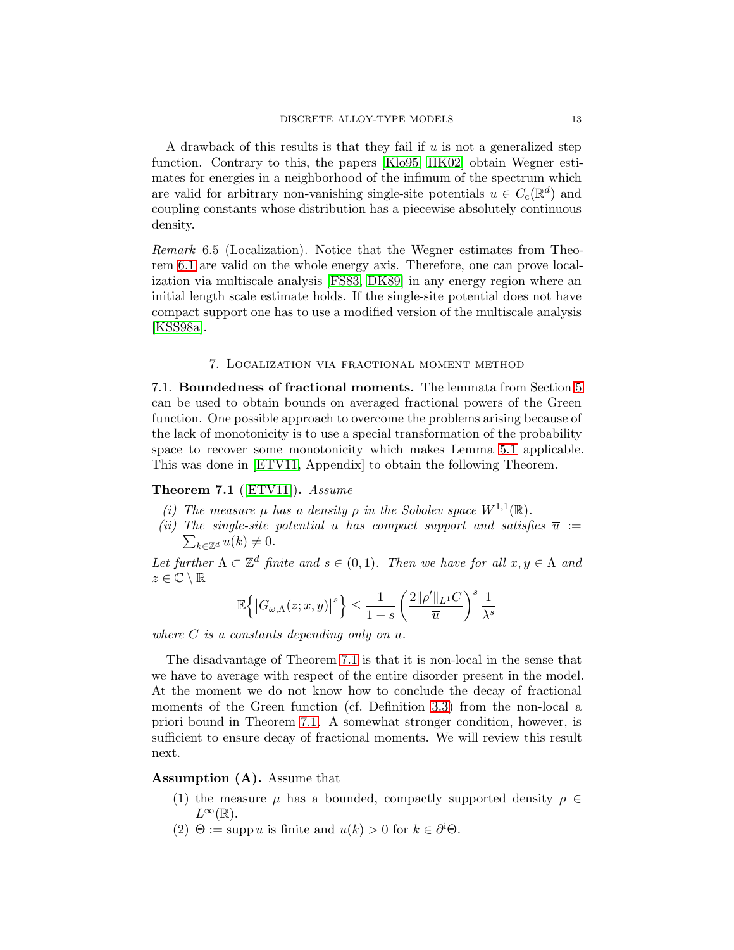A drawback of this results is that they fail if  $u$  is not a generalized step function. Contrary to this, the papers [\[Klo95,](#page-22-3) [HK02\]](#page-22-5) obtain Wegner estimates for energies in a neighborhood of the infimum of the spectrum which are valid for arbitrary non-vanishing single-site potentials  $u \in C_c(\mathbb{R}^d)$  and coupling constants whose distribution has a piecewise absolutely continuous density.

Remark 6.5 (Localization). Notice that the Wegner estimates from Theorem [6.1](#page-10-1) are valid on the whole energy axis. Therefore, one can prove localization via multiscale analysis [\[FS83,](#page-22-18) [DK89\]](#page-21-9) in any energy region where an initial length scale estimate holds. If the single-site potential does not have compact support one has to use a modified version of the multiscale analysis [\[KSS98a\]](#page-23-18).

#### 7. Localization via fractional moment method

<span id="page-12-1"></span><span id="page-12-0"></span>7.1. Boundedness of fractional moments. The lemmata from Section [5](#page-7-0) can be used to obtain bounds on averaged fractional powers of the Green function. One possible approach to overcome the problems arising because of the lack of monotonicity is to use a special transformation of the probability space to recover some monotonicity which makes Lemma [5.1](#page-7-1) applicable. This was done in [\[ETV11,](#page-22-7) Appendix] to obtain the following Theorem.

#### <span id="page-12-2"></span>**Theorem 7.1** ( $[ETV11]$ ). Assume

- (i) The measure  $\mu$  has a density  $\rho$  in the Sobolev space  $W^{1,1}(\mathbb{R})$ .
- (ii) The single-site potential u has compact support and satisfies  $\overline{u}$  :=  $\sum_{k\in\mathbb{Z}^d} u(k)\neq 0.$

Let further  $\Lambda \subset \mathbb{Z}^d$  finite and  $s \in (0,1)$ . Then we have for all  $x, y \in \Lambda$  and  $z \in \mathbb{C} \setminus \mathbb{R}$ 

$$
\mathbb{E}\Big\{\big|G_{\omega,\Lambda}(z;x,y)\big|^s\Big\}\leq \frac{1}{1-s}\left(\frac{2\|\rho'\|_{L^1}C}{\overline{u}}\right)^s\frac{1}{\lambda^s}
$$

where  $C$  is a constants depending only on  $u$ .

The disadvantage of Theorem [7.1](#page-12-2) is that it is non-local in the sense that we have to average with respect of the entire disorder present in the model. At the moment we do not know how to conclude the decay of fractional moments of the Green function (cf. Definition [3.3\)](#page-4-1) from the non-local a priori bound in Theorem [7.1.](#page-12-2) A somewhat stronger condition, however, is sufficient to ensure decay of fractional moments. We will review this result next.

<span id="page-12-3"></span>Assumption (A). Assume that

- (1) the measure  $\mu$  has a bounded, compactly supported density  $\rho \in$  $L^{\infty}(\mathbb{R}).$
- (2)  $\Theta := \text{supp } u$  is finite and  $u(k) > 0$  for  $k \in \partial^i \Theta$ .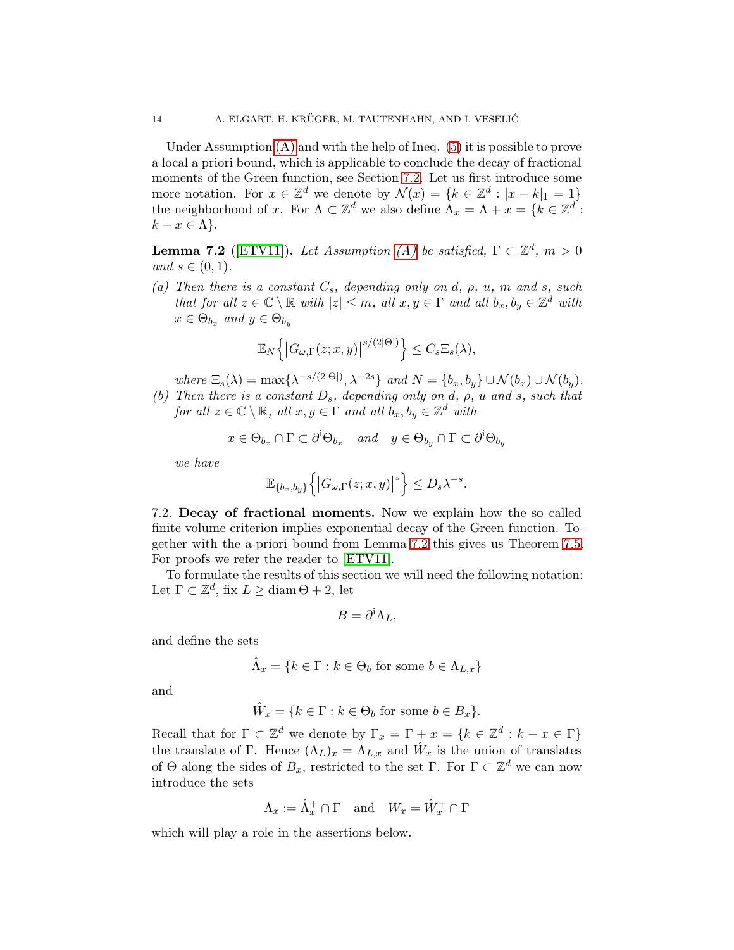Under Assumption  $(A)$  and with the help of Ineq.  $(5)$  it is possible to prove a local a priori bound, which is applicable to conclude the decay of fractional moments of the Green function, see Section [7.2.](#page-13-0) Let us first introduce some more notation. For  $x \in \mathbb{Z}^d$  we denote by  $\mathcal{N}(x) = \{k \in \mathbb{Z}^d : |x - k|_1 = 1\}$ the neighborhood of x. For  $\Lambda \subset \mathbb{Z}^d$  we also define  $\Lambda_x = \Lambda + x = \{k \in \mathbb{Z}^d :$  $k - x \in \Lambda$ .

<span id="page-13-1"></span>**Lemma 7.2** ([\[ETV11\]](#page-22-7)). Let Assumption [\(A\)](#page-12-3) be satisfied,  $\Gamma \subset \mathbb{Z}^d$ ,  $m > 0$ and  $s \in (0,1)$ .

(a) Then there is a constant  $C_s$ , depending only on d,  $\rho$ , u, m and s, such that for all  $z \in \mathbb{C} \setminus \mathbb{R}$  with  $|z| \leq m$ , all  $x, y \in \Gamma$  and all  $b_x, b_y \in \mathbb{Z}^d$  with  $x \in \Theta_{b_x}$  and  $y \in \Theta_{b_y}$ 

$$
\mathbb{E}_N\Big\{\big|G_{\omega,\Gamma}(z;x,y)\big|^{s/(2|\Theta|)}\Big\}\leq C_s\Xi_s(\lambda),
$$

where  $\Xi_s(\lambda) = \max\{\lambda^{-s/(2|\Theta|)}, \lambda^{-2s}\}\$ and  $N = \{b_x, b_y\} \cup \mathcal{N}(b_x) \cup \mathcal{N}(b_y)$ .

(b) Then there is a constant  $D_s$ , depending only on d,  $\rho$ , u and s, such that for all  $z \in \mathbb{C} \setminus \mathbb{R}$ , all  $x, y \in \Gamma$  and all  $b_x, b_y \in \mathbb{Z}^d$  with

$$
x \in \Theta_{b_x} \cap \Gamma \subset \partial^i \Theta_{b_x}
$$
 and  $y \in \Theta_{b_y} \cap \Gamma \subset \partial^i \Theta_{b_y}$ 

we have

$$
\mathbb{E}_{\{b_x,b_y\}}\Big\{\big|G_{\omega,\Gamma}(z;x,y)\big|^s\Big\}\leq D_s\lambda^{-s}.
$$

<span id="page-13-0"></span>7.2. Decay of fractional moments. Now we explain how the so called finite volume criterion implies exponential decay of the Green function. Together with the a-priori bound from Lemma [7.2](#page-13-1) this gives us Theorem [7.5.](#page-14-1) For proofs we refer the reader to [\[ETV11\]](#page-22-7).

To formulate the results of this section we will need the following notation: Let  $\Gamma \subset \mathbb{Z}^d$ , fix  $L \geq \text{diam}\,\Theta + 2$ , let

$$
B=\partial^{\rm i}\Lambda_L,
$$

and define the sets

$$
\hat{\Lambda}_x = \{ k \in \Gamma : k \in \Theta_b \text{ for some } b \in \Lambda_{L,x} \}
$$

and

$$
\hat{W}_x = \{ k \in \Gamma : k \in \Theta_b \text{ for some } b \in B_x \}.
$$

Recall that for  $\Gamma \subset \mathbb{Z}^d$  we denote by  $\Gamma_x = \Gamma + x = \{k \in \mathbb{Z}^d : k - x \in \Gamma\}$ the translate of Γ. Hence  $(\Lambda_L)_x = \Lambda_{L,x}$  and  $\hat{W}_x$  is the union of translates of  $\Theta$  along the sides of  $B_x$ , restricted to the set  $\Gamma$ . For  $\Gamma \subset \mathbb{Z}^d$  we can now introduce the sets

$$
\Lambda_x := \hat{\Lambda}^+_x \cap \Gamma \quad \text{and} \quad W_x = \hat{W}^+_x \cap \Gamma
$$

which will play a role in the assertions below.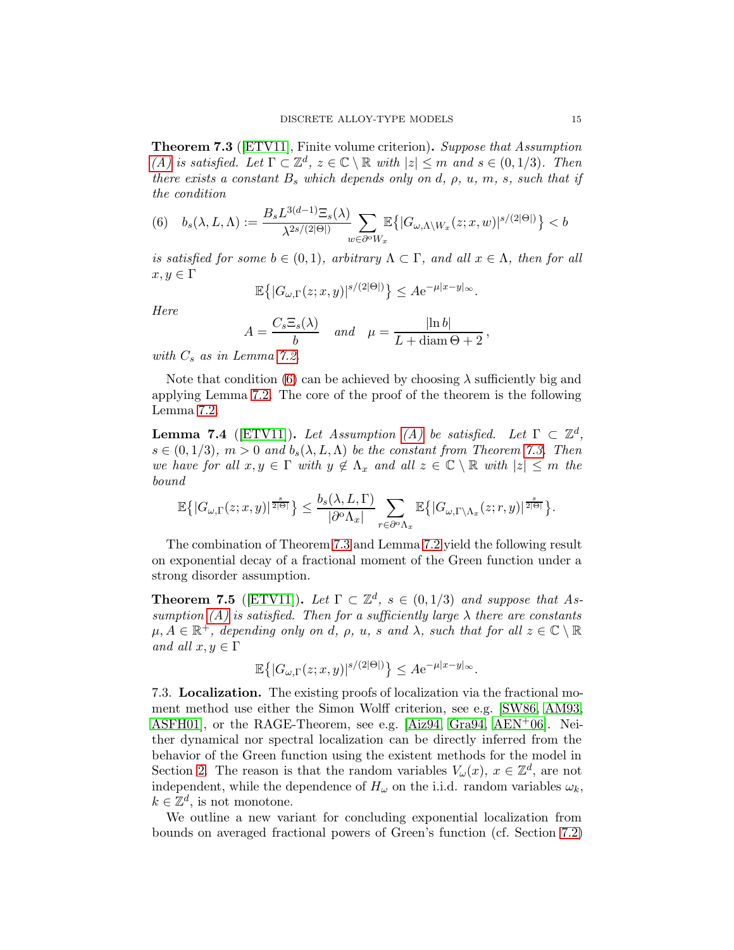<span id="page-14-3"></span>Theorem 7.3 ([\[ETV11\]](#page-22-7), Finite volume criterion). Suppose that Assumption [\(A\)](#page-12-3) is satisfied. Let  $\Gamma \subset \mathbb{Z}^d$ ,  $z \in \mathbb{C} \setminus \mathbb{R}$  with  $|z| \leq m$  and  $s \in (0,1/3)$ . Then there exists a constant  $B_s$  which depends only on d,  $\rho$ ,  $u$ ,  $m$ ,  $s$ , such that if the condition

<span id="page-14-2"></span>
$$
(6) \quad b_s(\lambda, L, \Lambda) := \frac{B_s L^{3(d-1)} \Xi_s(\lambda)}{\lambda^{2s/(2|\Theta|)}} \sum_{w \in \partial^{\circ} W_x} \mathbb{E} \left\{ |G_{\omega, \Lambda \setminus W_x}(z; x, w)|^{s/(2|\Theta|)} \right\} < b
$$

is satisfied for some  $b \in (0,1)$ , arbitrary  $\Lambda \subset \Gamma$ , and all  $x \in \Lambda$ , then for all  $x, y \in \Gamma$ 

$$
\mathbb{E}\big\{|G_{\omega,\Gamma}(z;x,y)|^{s/(2|\Theta|)}\big\} \le A\mathrm{e}^{-\mu|x-y|_{\infty}}.
$$

Here

$$
A = \frac{C_s \Xi_s(\lambda)}{b} \quad and \quad \mu = \frac{|\ln b|}{L + \operatorname{diam} \Theta + 2},
$$

with  $C_s$  as in Lemma [7.2.](#page-13-1)

Note that condition [\(6\)](#page-14-2) can be achieved by choosing  $\lambda$  sufficiently big and applying Lemma [7.2.](#page-13-1) The core of the proof of the theorem is the following Lemma [7.2.](#page-13-1)

**Lemma 7.4** ([\[ETV11\]](#page-22-7)). Let Assumption [\(A\)](#page-12-3) be satisfied. Let  $\Gamma \subset \mathbb{Z}^d$ ,  $s \in (0, 1/3), m > 0$  and  $b_s(\lambda, L, \Lambda)$  be the constant from Theorem [7.3.](#page-14-3) Then we have for all  $x, y \in \Gamma$  with  $y \notin \Lambda_x$  and all  $z \in \mathbb{C} \setminus \mathbb{R}$  with  $|z| \leq m$  the bound

$$
\mathbb{E}\left\{|G_{\omega,\Gamma}(z;x,y)|^{\frac{s}{2|\Theta|}}\right\} \leq \frac{b_s(\lambda,L,\Gamma)}{|\partial^{\alpha}\Lambda_x|} \sum_{r \in \partial^{\alpha}\Lambda_x} \mathbb{E}\left\{|G_{\omega,\Gamma \setminus \Lambda_x}(z;r,y)|^{\frac{s}{2|\Theta|}}\right\}.
$$

The combination of Theorem [7.3](#page-14-3) and Lemma [7.2](#page-13-1) yield the following result on exponential decay of a fractional moment of the Green function under a strong disorder assumption.

<span id="page-14-1"></span>**Theorem 7.5** ([\[ETV11\]](#page-22-7)). Let  $\Gamma \subset \mathbb{Z}^d$ ,  $s \in (0,1/3)$  and suppose that As-sumption [\(A\)](#page-12-3) is satisfied. Then for a sufficiently large  $\lambda$  there are constants  $\mu, A \in \mathbb{R}^+$ , depending only on d,  $\rho$ , u, s and  $\lambda$ , such that for all  $z \in \mathbb{C} \setminus \mathbb{R}$ and all  $x, y \in \Gamma$ 

$$
\mathbb{E}\left\{|G_{\omega,\Gamma}(z;x,y)|^{s/(2|\Theta|)}\right\} \leq A\mathrm{e}^{-\mu|x-y|_{\infty}}.
$$

<span id="page-14-0"></span>7.3. Localization. The existing proofs of localization via the fractional moment method use either the Simon Wolff criterion, see e.g. [\[SW86,](#page-23-19) [AM93,](#page-21-2) ASFH01, or the RAGE-Theorem, see e.g. [\[Aiz94,](#page-21-11) [Gra94,](#page-22-19) [AEN](#page-21-5)<sup>+</sup>06]. Neither dynamical nor spectral localization can be directly inferred from the behavior of the Green function using the existent methods for the model in Section [2.](#page-2-0) The reason is that the random variables  $V_\omega(x)$ ,  $x \in \mathbb{Z}^d$ , are not independent, while the dependence of  $H_{\omega}$  on the i.i.d. random variables  $\omega_k$ ,  $k \in \mathbb{Z}^d$ , is not monotone.

We outline a new variant for concluding exponential localization from bounds on averaged fractional powers of Green's function (cf. Section [7.2\)](#page-13-0)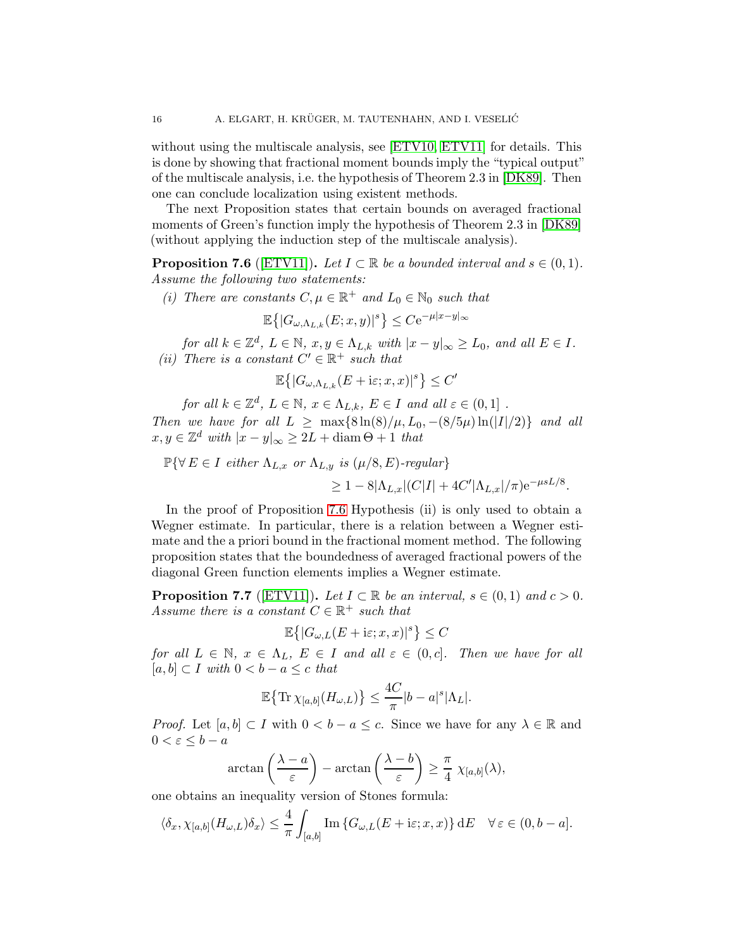without using the multiscale analysis, see [\[ETV10,](#page-22-6) [ETV11\]](#page-22-7) for details. This is done by showing that fractional moment bounds imply the "typical output" of the multiscale analysis, i.e. the hypothesis of Theorem 2.3 in [\[DK89\]](#page-21-9). Then one can conclude localization using existent methods.

The next Proposition states that certain bounds on averaged fractional moments of Green's function imply the hypothesis of Theorem 2.3 in [\[DK89\]](#page-21-9) (without applying the induction step of the multiscale analysis).

<span id="page-15-0"></span>**Proposition 7.6** ([\[ETV11\]](#page-22-7)). Let  $I \subset \mathbb{R}$  be a bounded interval and  $s \in (0,1)$ . Assume the following two statements:

(i) There are constants  $C, \mu \in \mathbb{R}^+$  and  $L_0 \in \mathbb{N}_0$  such that

$$
\mathbb{E}\left\{|G_{\omega,\Lambda_{L,k}}(E;x,y)|^s\right\} \leq Ce^{-\mu|x-y|_\infty}
$$

for all  $k \in \mathbb{Z}^d$ ,  $L \in \mathbb{N}$ ,  $x, y \in \Lambda_{L,k}$  with  $|x - y|_{\infty} \ge L_0$ , and all  $E \in I$ . (ii) There is a constant  $C' \in \mathbb{R}^+$  such that

$$
\mathbb{E}\left\{|G_{\omega,\Lambda_{L,k}}(E+\mathrm{i}\varepsilon;x,x)|^s\right\}\leq C'
$$

for all  $k \in \mathbb{Z}^d$ ,  $L \in \mathbb{N}$ ,  $x \in \Lambda_{L,k}$ ,  $E \in I$  and all  $\varepsilon \in (0,1]$ .

Then we have for all  $L \geq \max\{8\ln(8)/\mu, L_0, -(8/5\mu)\ln(|I|/2)\}\$  and all  $x, y \in \mathbb{Z}^d$  with  $|x - y|_{\infty} \ge 2L + \text{diam}\,\Theta + 1$  that

$$
\mathbb{P}\{\forall E \in I \text{ either } \Lambda_{L,x} \text{ or } \Lambda_{L,y} \text{ is } (\mu/8, E)\text{-regular}\}\
$$
  

$$
\geq 1 - 8|\Lambda_{L,x}|(C|I| + 4C'|\Lambda_{L,x}|/\pi)e^{-\mu sL/8}.
$$

In the proof of Proposition [7.6](#page-15-0) Hypothesis (ii) is only used to obtain a Wegner estimate. In particular, there is a relation between a Wegner estimate and the a priori bound in the fractional moment method. The following proposition states that the boundedness of averaged fractional powers of the diagonal Green function elements implies a Wegner estimate.

**Proposition 7.7** ([\[ETV11\]](#page-22-7)). Let  $I \subset \mathbb{R}$  be an interval,  $s \in (0,1)$  and  $c > 0$ . Assume there is a constant  $C \in \mathbb{R}^+$  such that

$$
\mathbb{E}\left\{|G_{\omega,L}(E+\mathrm{i}\varepsilon;x,x)|^s\right\} \leq C
$$

for all  $L \in \mathbb{N}$ ,  $x \in \Lambda_L$ ,  $E \in I$  and all  $\varepsilon \in (0, c]$ . Then we have for all  $[a, b] \subset I$  with  $0 < b - a \leq c$  that

$$
\mathbb{E}\big\{\text{Tr}\,\chi_{[a,b]}(H_{\omega,L})\big\}\leq \frac{4C}{\pi}|b-a|^s|\Lambda_L|.
$$

*Proof.* Let  $[a, b] \subset I$  with  $0 < b - a \leq c$ . Since we have for any  $\lambda \in \mathbb{R}$  and  $0<\varepsilon\leq b-a$ 

$$
\arctan\left(\frac{\lambda-a}{\varepsilon}\right)-\arctan\left(\frac{\lambda-b}{\varepsilon}\right)\geq \frac{\pi}{4}\ \chi_{[a,b]}(\lambda),
$$

one obtains an inequality version of Stones formula:

$$
\langle \delta_x, \chi_{[a,b]}(H_{\omega,L})\delta_x \rangle \leq \frac{4}{\pi} \int_{[a,b]} \text{Im} \left\{ G_{\omega,L}(E + i\varepsilon; x, x) \right\} dE \quad \forall \, \varepsilon \in (0, b - a].
$$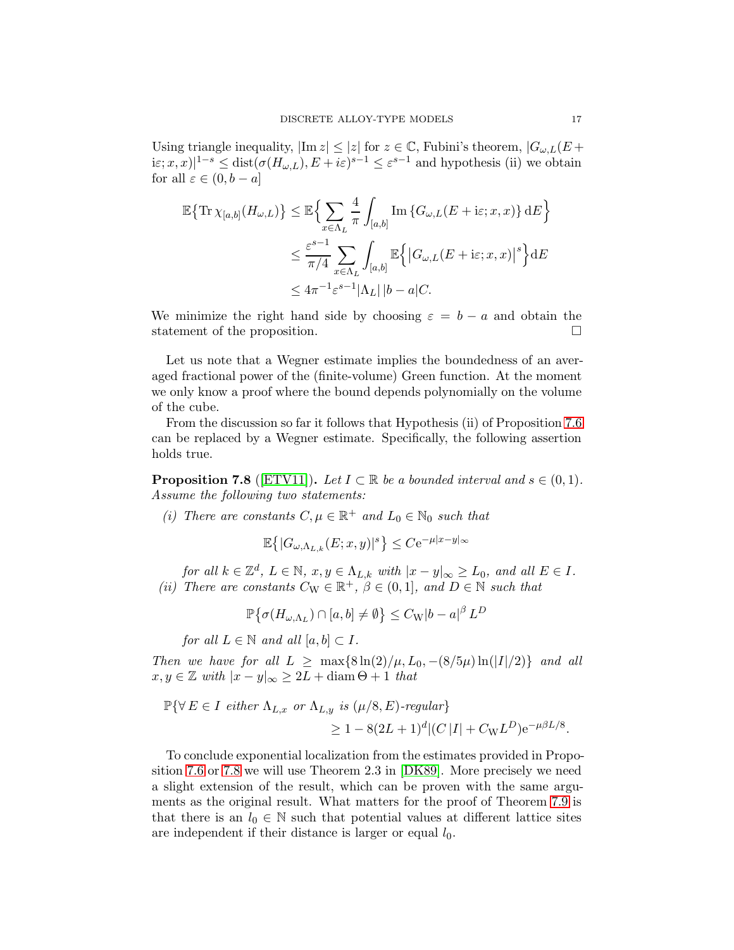Using triangle inequality,  $|\text{Im } z| \leq |z|$  for  $z \in \mathbb{C}$ , Fubini's theorem,  $|G_{\omega,L}(E +$  $i\epsilon; x, x\vert\vert^{1-s} \leq \text{dist}(\sigma(H_{\omega,L}), E + i\varepsilon)^{s-1} \leq \varepsilon^{s-1}$  and hypothesis (ii) we obtain for all  $\varepsilon \in (0, b - a]$ 

$$
\mathbb{E}\left\{\text{Tr}\,\chi_{[a,b]}(H_{\omega,L})\right\} \leq \mathbb{E}\left\{\sum_{x\in\Lambda_L} \frac{4}{\pi} \int_{[a,b]} \text{Im}\left\{G_{\omega,L}(E+\mathrm{i}\varepsilon;x,x)\right\} \mathrm{d}E\right\}
$$

$$
\leq \frac{\varepsilon^{s-1}}{\pi/4} \sum_{x\in\Lambda_L} \int_{[a,b]} \mathbb{E}\left\{\left|G_{\omega,L}(E+\mathrm{i}\varepsilon;x,x)\right|^s\right\} \mathrm{d}E
$$

$$
\leq 4\pi^{-1}\varepsilon^{s-1}|\Lambda_L|\,|b-a|C.
$$

We minimize the right hand side by choosing  $\varepsilon = b - a$  and obtain the statement of the proposition.

Let us note that a Wegner estimate implies the boundedness of an averaged fractional power of the (finite-volume) Green function. At the moment we only know a proof where the bound depends polynomially on the volume of the cube.

From the discussion so far it follows that Hypothesis (ii) of Proposition [7.6](#page-15-0) can be replaced by a Wegner estimate. Specifically, the following assertion holds true.

<span id="page-16-0"></span>**Proposition 7.8** ([\[ETV11\]](#page-22-7)). Let  $I \subset \mathbb{R}$  be a bounded interval and  $s \in (0,1)$ . Assume the following two statements:

(i) There are constants  $C, \mu \in \mathbb{R}^+$  and  $L_0 \in \mathbb{N}_0$  such that

$$
\mathbb{E}\left\{|G_{\omega,\Lambda_{L,k}}(E;x,y)|^s\right\} \leq C\mathrm{e}^{-\mu|x-y|_{\infty}}
$$

for all  $k \in \mathbb{Z}^d$ ,  $L \in \mathbb{N}$ ,  $x, y \in \Lambda_{L,k}$  with  $|x - y|_{\infty} \ge L_0$ , and all  $E \in I$ . (ii) There are constants  $C_{W} \in \mathbb{R}^{+}$ ,  $\beta \in (0,1]$ , and  $D \in \mathbb{N}$  such that

$$
\mathbb{P}\big\{\sigma(H_{\omega,\Lambda_L})\cap [a,b]\neq \emptyset\big\}\leq C_{\rm W}|b-a|^\beta\,L^D
$$

for all  $L \in \mathbb{N}$  and all  $[a, b] \subset I$ .

Then we have for all  $L \geq \max\{8\ln(2)/\mu, L_0, -(8/5\mu)\ln(|I|/2)\}\$  and all  $x, y \in \mathbb{Z}$  with  $|x - y|_{\infty} \ge 2L + \text{diam}\,\Theta + 1$  that

$$
\mathbb{P}\{\forall E \in I \text{ either } \Lambda_{L,x} \text{ or } \Lambda_{L,y} \text{ is } (\mu/8, E)\text{-regular}\}\
$$
  

$$
\geq 1 - 8(2L+1)^d |(C|I| + C_{\mathcal{W}} L^D) e^{-\mu \beta L/8}.
$$

To conclude exponential localization from the estimates provided in Proposition [7.6](#page-15-0) or [7.8](#page-16-0) we will use Theorem 2.3 in [\[DK89\]](#page-21-9). More precisely we need a slight extension of the result, which can be proven with the same arguments as the original result. What matters for the proof of Theorem [7.9](#page-17-1) is that there is an  $l_0 \in \mathbb{N}$  such that potential values at different lattice sites are independent if their distance is larger or equal  $l_0$ .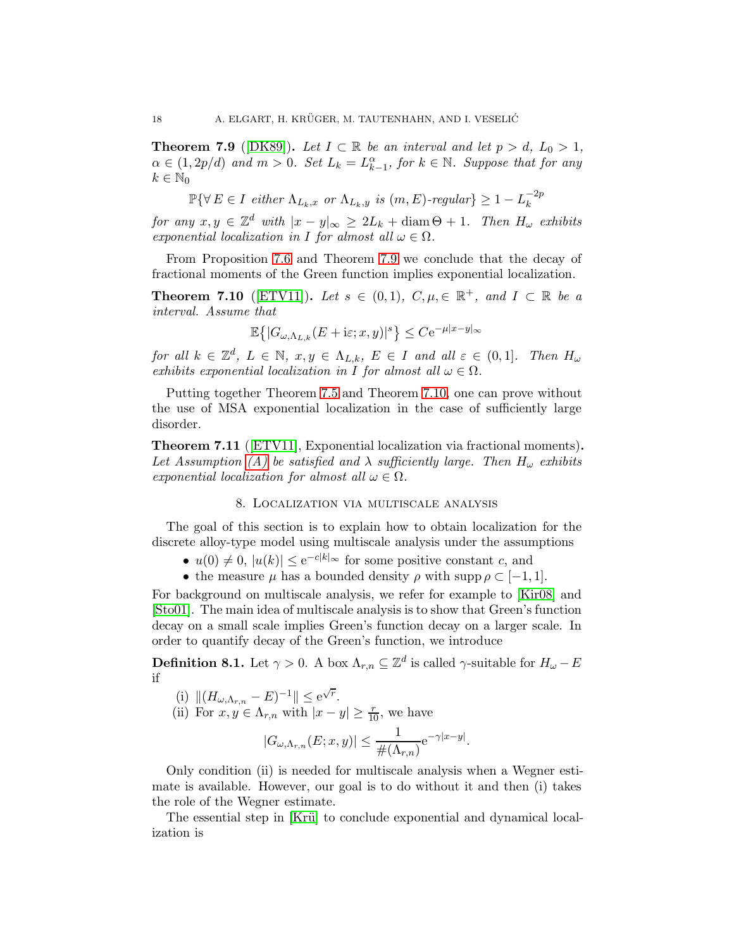<span id="page-17-1"></span>**Theorem 7.9** ([\[DK89\]](#page-21-9)). Let  $I \subset \mathbb{R}$  be an interval and let  $p > d$ ,  $L_0 > 1$ ,  $\alpha \in (1, 2p/d)$  and  $m > 0$ . Set  $L_k = L_{k-1}^{\alpha}$ , for  $k \in \mathbb{N}$ . Suppose that for any  $k \in \mathbb{N}_0$ 

 $\mathbb{P}\{\forall E \in I \text{ either } \Lambda_{L_k,x} \text{ or } \Lambda_{L_k,y} \text{ is } (m,E)\text{-regular}\} \geq 1 - L_k^{-2p}$ 

for any  $x, y \in \mathbb{Z}^d$  with  $|x - y|_{\infty} \ge 2L_k + \text{diam}\,\Theta + 1$ . Then  $H_{\omega}$  exhibits exponential localization in I for almost all  $\omega \in \Omega$ .

From Proposition [7.6](#page-15-0) and Theorem [7.9](#page-17-1) we conclude that the decay of fractional moments of the Green function implies exponential localization.

<span id="page-17-2"></span>**Theorem 7.10** ([\[ETV11\]](#page-22-7)). Let  $s \in (0,1)$ ,  $C, \mu \in \mathbb{R}^+$ , and  $I \subset \mathbb{R}$  be a interval. Assume that

$$
\mathbb{E}\left\{|G_{\omega,\Lambda_{L,k}}(E+\mathrm{i}\varepsilon;x,y)|^s\right\}\leq Ce^{-\mu|x-y|_\infty}
$$

for all  $k \in \mathbb{Z}^d$ ,  $L \in \mathbb{N}$ ,  $x, y \in \Lambda_{L,k}$ ,  $E \in I$  and all  $\varepsilon \in (0,1]$ . Then  $H_{\omega}$ exhibits exponential localization in I for almost all  $\omega \in \Omega$ .

Putting together Theorem [7.5](#page-14-1) and Theorem [7.10,](#page-17-2) one can prove without the use of MSA exponential localization in the case of sufficiently large disorder.

Theorem 7.11 ([\[ETV11\]](#page-22-7), Exponential localization via fractional moments). Let Assumption [\(A\)](#page-12-3) be satisfied and  $\lambda$  sufficiently large. Then  $H_{\omega}$  exhibits exponential localization for almost all  $\omega \in \Omega$ .

#### 8. Localization via multiscale analysis

<span id="page-17-0"></span>The goal of this section is to explain how to obtain localization for the discrete alloy-type model using multiscale analysis under the assumptions

- $u(0) \neq 0, |u(k)| \leq e^{-c|k|_{\infty}}$  for some positive constant c, and
- the measure  $\mu$  has a bounded density  $\rho$  with supp  $\rho \subset [-1,1]$ .

For background on multiscale analysis, we refer for example to [\[Kir08\]](#page-22-2) and [\[Sto01\]](#page-23-1). The main idea of multiscale analysis is to show that Green's function decay on a small scale implies Green's function decay on a larger scale. In order to quantify decay of the Green's function, we introduce

**Definition 8.1.** Let  $\gamma > 0$ . A box  $\Lambda_{r,n} \subseteq \mathbb{Z}^d$  is called  $\gamma$ -suitable for  $H_\omega - E$ if

(i) 
$$
\|(H_{\omega,\Lambda_{r,n}}-E)^{-1}\| \leq e^{\sqrt{r}}.
$$

(ii) For  $x, y \in \Lambda_{r,n}$  with  $|x-y| \geq \frac{r}{10}$ , we have

$$
|G_{\omega,\Lambda_{r,n}}(E;x,y)| \leq \frac{1}{\#(\Lambda_{r,n})} e^{-\gamma |x-y|}.
$$

Only condition (ii) is needed for multiscale analysis when a Wegner estimate is available. However, our goal is to do without it and then (i) takes the role of the Wegner estimate.

The essential step in [Krü] to conclude exponential and dynamical localization is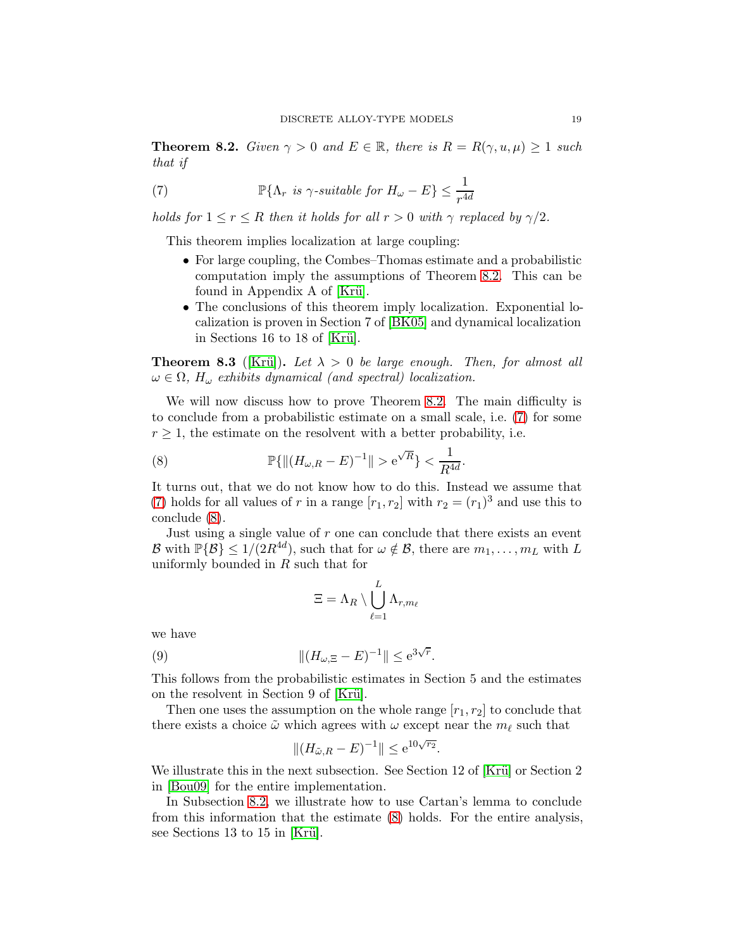<span id="page-18-0"></span>**Theorem 8.2.** Given  $\gamma > 0$  and  $E \in \mathbb{R}$ , there is  $R = R(\gamma, u, \mu) \ge 1$  such that if

(7) 
$$
\mathbb{P}\{\Lambda_r \text{ is } \gamma\text{-suitable for } H_\omega - E\} \leq \frac{1}{r^{4d}}
$$

holds for  $1 \le r \le R$  then it holds for all  $r > 0$  with  $\gamma$  replaced by  $\gamma/2$ .

This theorem implies localization at large coupling:

- <span id="page-18-1"></span>• For large coupling, the Combes–Thomas estimate and a probabilistic computation imply the assumptions of Theorem [8.2.](#page-18-0) This can be found in Appendix  $A$  of [Krü].
- The conclusions of this theorem imply localization. Exponential localization is proven in Section 7 of [\[BK05\]](#page-21-12) and dynamical localization in Sections 16 to 18 of  $[Kr\ddot{u}]$ .

**Theorem 8.3** ([Krü]). Let  $\lambda > 0$  be large enough. Then, for almost all  $\omega \in \Omega$ ,  $H_{\omega}$  exhibits dynamical (and spectral) localization.

We will now discuss how to prove Theorem [8.2.](#page-18-0) The main difficulty is to conclude from a probabilistic estimate on a small scale, i.e. [\(7\)](#page-18-1) for some  $r > 1$ , the estimate on the resolvent with a better probability, i.e.

<span id="page-18-2"></span>(8) 
$$
\mathbb{P}\{\|(H_{\omega,R} - E)^{-1}\| > e^{\sqrt{R}}\} < \frac{1}{R^{4d}}.
$$

It turns out, that we do not know how to do this. Instead we assume that [\(7\)](#page-18-1) holds for all values of r in a range  $[r_1, r_2]$  with  $r_2 = (r_1)^3$  and use this to conclude [\(8\)](#page-18-2).

Just using a single value of  $r$  one can conclude that there exists an event B with  $\mathbb{P} \{ \mathcal{B} \} \leq 1/(2R^{4d})$ , such that for  $\omega \notin \mathcal{B}$ , there are  $m_1, \ldots, m_L$  with L uniformly bounded in  $R$  such that for

<span id="page-18-3"></span>
$$
\Xi=\Lambda_R\setminus\bigcup_{\ell=1}^L\Lambda_{r,m_\ell}
$$

we have

(9) 
$$
||(H_{\omega,\Xi} - E)^{-1}|| \le e^{3\sqrt{r}}.
$$

This follows from the probabilistic estimates in Section 5 and the estimates on the resolvent in Section 9 of [Krü].

Then one uses the assumption on the whole range  $[r_1, r_2]$  to conclude that there exists a choice  $\tilde{\omega}$  which agrees with  $\omega$  except near the  $m_{\ell}$  such that

$$
|| (H_{\tilde{\omega},R} - E)^{-1} || \le e^{10\sqrt{r_2}}.
$$

We illustrate this in the next subsection. See Section 12 of [Krü] or Section 2 in [\[Bou09\]](#page-21-4) for the entire implementation.

In Subsection [8.2,](#page-19-1) we illustrate how to use Cartan's lemma to conclude from this information that the estimate [\(8\)](#page-18-2) holds. For the entire analysis, see Sections 13 to 15 in  $[Kr\ddot{u}]$ .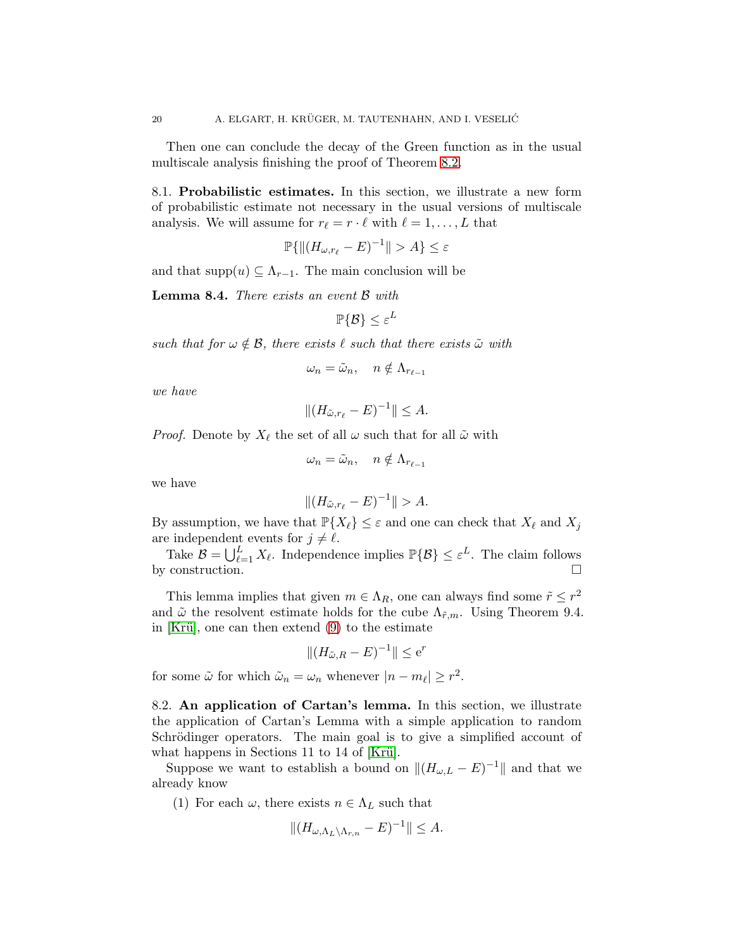Then one can conclude the decay of the Green function as in the usual multiscale analysis finishing the proof of Theorem [8.2.](#page-18-0)

<span id="page-19-0"></span>8.1. Probabilistic estimates. In this section, we illustrate a new form of probabilistic estimate not necessary in the usual versions of multiscale analysis. We will assume for  $r_{\ell} = r \cdot \ell$  with  $\ell = 1, \ldots, L$  that

$$
\mathbb{P}\{\|(H_{\omega,r_{\ell}}-E)^{-1}\|>A\}\leq\varepsilon
$$

and that  $\text{supp}(u) \subseteq \Lambda_{r-1}$ . The main conclusion will be

Lemma 8.4. There exists an event  $\beta$  with

$$
\mathbb{P}\{\mathcal{B}\} \leq \varepsilon^L
$$

such that for  $\omega \notin \mathcal{B}$ , there exists  $\ell$  such that there exists  $\tilde{\omega}$  with

$$
\omega_n = \tilde{\omega}_n, \quad n \notin \Lambda_{r_{\ell-1}}
$$

we have

$$
||(H_{\tilde{\omega},r_{\ell}}-E)^{-1}||\leq A.
$$

*Proof.* Denote by  $X_{\ell}$  the set of all  $\omega$  such that for all  $\tilde{\omega}$  with

$$
\omega_n = \tilde{\omega}_n, \quad n \notin \Lambda_{r_{\ell-1}}
$$

we have

$$
\|(H_{\tilde{\omega},r_{\ell}}-E)^{-1}\|>A.
$$

By assumption, we have that  $\mathbb{P}\{X_{\ell}\}\leq \varepsilon$  and one can check that  $X_{\ell}$  and  $X_{j}$ are independent events for  $j \neq \ell$ .

Take  $\mathcal{B} = \bigcup_{\ell=1}^L X_\ell$ . Independence implies  $\mathbb{P}\{\mathcal{B}\}\leq \varepsilon^L$ . The claim follows by construction.  $\Box$ 

This lemma implies that given  $m \in \Lambda_R$ , one can always find some  $\tilde{r} \leq r^2$ and  $\tilde{\omega}$  the resolvent estimate holds for the cube  $\Lambda_{\tilde{r},m}$ . Using Theorem 9.4. in  $[Kr\ddot{u}]$ , one can then extend  $(9)$  to the estimate

$$
||(H_{\tilde{\omega},R} - E)^{-1}|| \le e^r
$$

for some  $\tilde{\omega}$  for which  $\tilde{\omega}_n = \omega_n$  whenever  $|n - m_\ell| \ge r^2$ .

<span id="page-19-1"></span>8.2. An application of Cartan's lemma. In this section, we illustrate the application of Cartan's Lemma with a simple application to random Schrödinger operators. The main goal is to give a simplified account of what happens in Sections 11 to 14 of [Krü].

Suppose we want to establish a bound on  $|| (H_{\omega,L} - E)^{-1} ||$  and that we already know

(1) For each  $\omega$ , there exists  $n \in \Lambda_L$  such that

$$
|| (H_{\omega,\Lambda_L\setminus\Lambda_{r,n}} - E)^{-1} || \leq A.
$$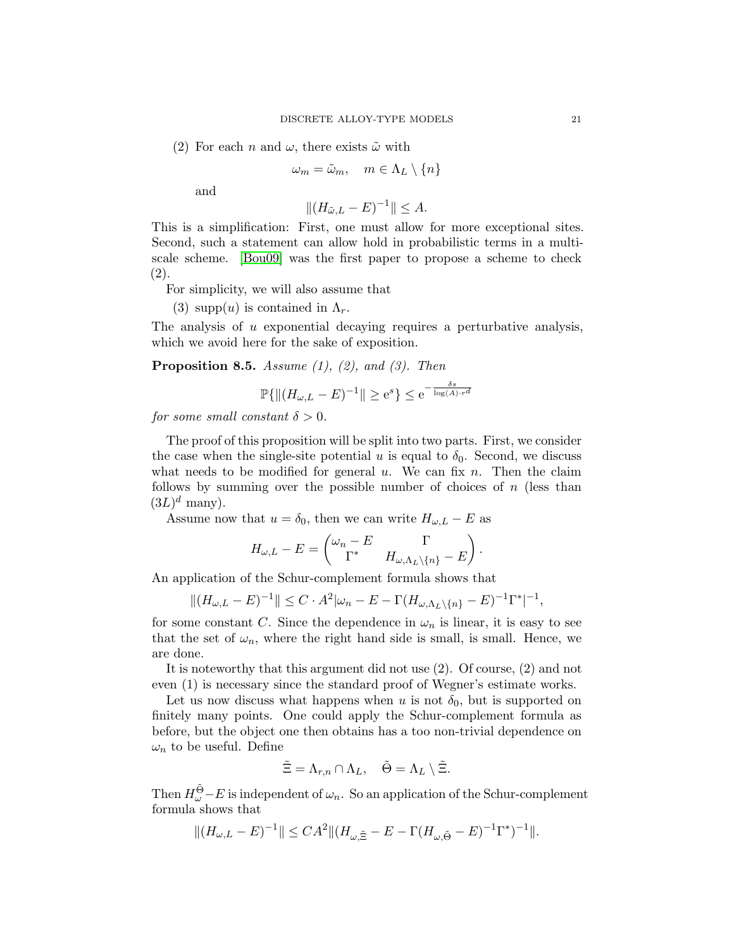(2) For each n and  $\omega$ , there exists  $\tilde{\omega}$  with

$$
\omega_m = \tilde{\omega}_m, \quad m \in \Lambda_L \setminus \{n\}
$$

and

$$
|| (H_{\tilde{\omega},L} - E)^{-1} || \leq A.
$$

This is a simplification: First, one must allow for more exceptional sites. Second, such a statement can allow hold in probabilistic terms in a multiscale scheme. [\[Bou09\]](#page-21-4) was the first paper to propose a scheme to check (2).

For simplicity, we will also assume that

(3) supp(u) is contained in  $\Lambda_r$ .

The analysis of u exponential decaying requires a perturbative analysis, which we avoid here for the sake of exposition.

**Proposition 8.5.** Assume  $(1)$ ,  $(2)$ , and  $(3)$ . Then

$$
\mathbb{P}\{\|(H_{\omega,L} - E)^{-1}\| \ge e^s\} \le e^{-\frac{\delta s}{\log(A) \cdot r^d}}
$$

for some small constant  $\delta > 0$ .

The proof of this proposition will be split into two parts. First, we consider the case when the single-site potential u is equal to  $\delta_0$ . Second, we discuss what needs to be modified for general  $u$ . We can fix  $n$ . Then the claim follows by summing over the possible number of choices of  $n$  (less than  $(3L)^d$  many).

Assume now that  $u = \delta_0$ , then we can write  $H_{\omega,L} - E$  as

$$
H_{\omega,L} - E = \begin{pmatrix} \omega_n - E & \Gamma \\ \Gamma^* & H_{\omega,\Lambda_L \setminus \{n\}} - E \end{pmatrix}.
$$

An application of the Schur-complement formula shows that

$$
||(H_{\omega,L} - E)^{-1}|| \leq C \cdot A^2 |\omega_n - E - \Gamma(H_{\omega,\Lambda_L \setminus \{n\}} - E)^{-1} \Gamma^*|^{-1},
$$

for some constant C. Since the dependence in  $\omega_n$  is linear, it is easy to see that the set of  $\omega_n$ , where the right hand side is small, is small. Hence, we are done.

It is noteworthy that this argument did not use (2). Of course, (2) and not even (1) is necessary since the standard proof of Wegner's estimate works.

Let us now discuss what happens when u is not  $\delta_0$ , but is supported on finitely many points. One could apply the Schur-complement formula as before, but the object one then obtains has a too non-trivial dependence on  $\omega_n$  to be useful. Define

$$
\tilde{\Xi} = \Lambda_{r,n} \cap \Lambda_L, \quad \tilde{\Theta} = \Lambda_L \setminus \tilde{\Xi}.
$$

Then  $H^{\tilde{\Theta}}_{\omega}$  – E is independent of  $\omega_n$ . So an application of the Schur-complement formula shows that

$$
||(H_{\omega,L} - E)^{-1}|| \leq CA^2 ||(H_{\omega,\tilde{\Xi}} - E - \Gamma(H_{\omega,\tilde{\Theta}} - E)^{-1} \Gamma^*)^{-1}||.
$$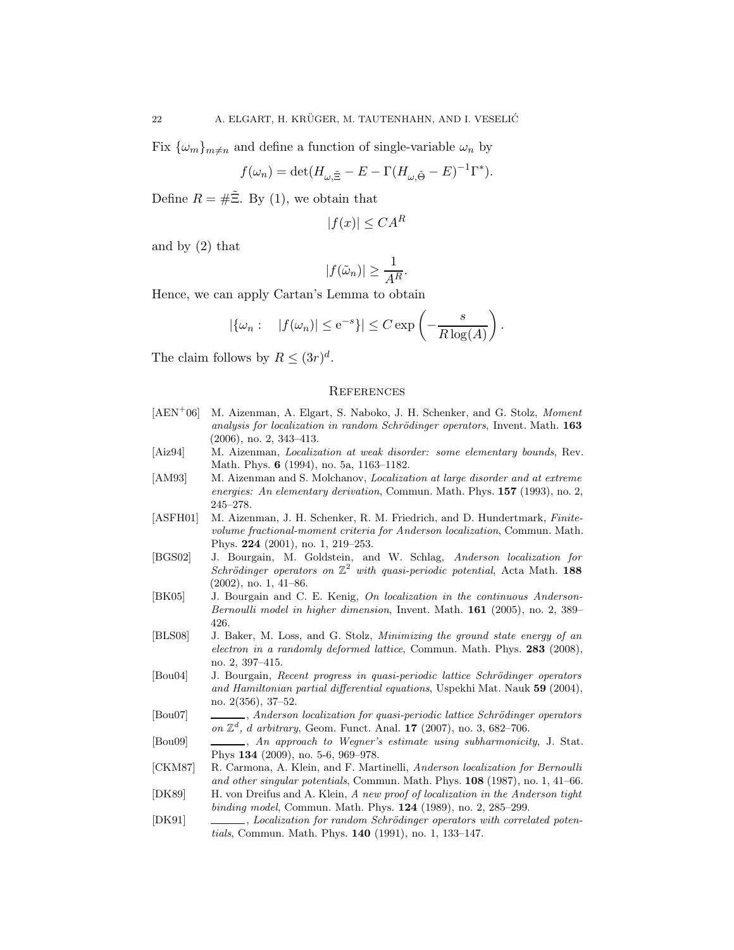Fix  $\{\omega_m\}_{m\neq n}$  and define a function of single-variable  $\omega_n$  by

$$
f(\omega_n) = \det(H_{\omega,\tilde{\Xi}} - E - \Gamma(H_{\omega,\tilde{\Theta}} - E)^{-1} \Gamma^*).
$$

Define  $R = \#\tilde{\Xi}$ . By (1), we obtain that

$$
|f(x)| \leq C A^R
$$

and by (2) that

$$
|f(\tilde{\omega}_n)| \ge \frac{1}{A^R}.
$$

Hence, we can apply Cartan's Lemma to obtain

$$
|\{\omega_n: |f(\omega_n)| \le e^{-s}\}| \le C \exp\left(-\frac{s}{R \log(A)}\right).
$$

The claim follows by  $R \leq (3r)^d$ .

#### <span id="page-21-0"></span>**REFERENCES**

- <span id="page-21-5"></span>[AEN<sup>+</sup>06] M. Aizenman, A. Elgart, S. Naboko, J. H. Schenker, and G. Stolz, Moment analysis for localization in random Schrödinger operators, Invent. Math.  $163$ (2006), no. 2, 343–413.
- <span id="page-21-11"></span>[Aiz94] M. Aizenman, Localization at weak disorder: some elementary bounds, Rev. Math. Phys. 6 (1994), no. 5a, 1163–1182.
- <span id="page-21-2"></span>[AM93] M. Aizenman and S. Molchanov, *Localization at large disorder and at extreme* energies: An elementary derivation, Commun. Math. Phys. 157 (1993), no. 2, 245–278.
- <span id="page-21-10"></span>[ASFH01] M. Aizenman, J. H. Schenker, R. M. Friedrich, and D. Hundertmark, Finitevolume fractional-moment criteria for Anderson localization, Commun. Math. Phys. 224 (2001), no. 1, 219–253.
- <span id="page-21-6"></span>[BGS02] J. Bourgain, M. Goldstein, and W. Schlag, Anderson localization for Schrödinger operators on  $\mathbb{Z}^2$  with quasi-periodic potential, Acta Math. 188 (2002), no. 1, 41–86.
- <span id="page-21-12"></span>[BK05] J. Bourgain and C. E. Kenig, On localization in the continuous Anderson-Bernoulli model in higher dimension, Invent. Math. 161 (2005), no. 2, 389– 426.
- <span id="page-21-3"></span>[BLS08] J. Baker, M. Loss, and G. Stolz, Minimizing the ground state energy of an electron in a randomly deformed lattice, Commun. Math. Phys. 283 (2008), no. 2, 397–415.
- <span id="page-21-7"></span>[Bou04] J. Bourgain, Recent progress in quasi-periodic lattice Schrödinger operators and Hamiltonian partial differential equations, Uspekhi Mat. Nauk 59 (2004), no. 2(356), 37–52.
- <span id="page-21-8"></span>[Bou07] , Anderson localization for quasi-periodic lattice Schrödinger operators on  $\mathbb{Z}^d$ , d arbitrary, Geom. Funct. Anal. 17 (2007), no. 3, 682-706.
- <span id="page-21-4"></span>[Bou09] , An approach to Wegner's estimate using subharmonicity, J. Stat. Phys 134 (2009), no. 5-6, 969–978.
- [CKM87] R. Carmona, A. Klein, and F. Martinelli, Anderson localization for Bernoulli and other singular potentials, Commun. Math. Phys.  $108$  (1987), no. 1, 41–66.
- <span id="page-21-9"></span>[DK89] H. von Dreifus and A. Klein, A new proof of localization in the Anderson tight binding model, Commun. Math. Phys. 124 (1989), no. 2, 285–299.
- <span id="page-21-1"></span>[DK91] , Localization for random Schrödinger operators with correlated potentials, Commun. Math. Phys. 140 (1991), no. 1, 133–147.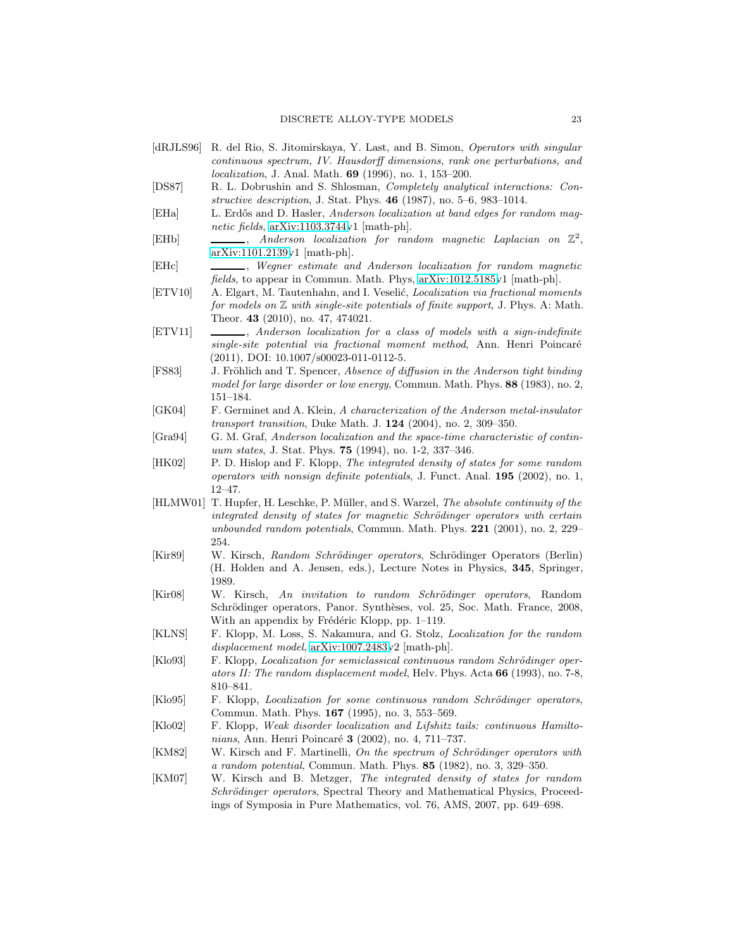- <span id="page-22-15"></span>[dRJLS96] R. del Rio, S. Jitomirskaya, Y. Last, and B. Simon, Operators with singular continuous spectrum, IV. Hausdorff dimensions, rank one perturbations, and localization, J. Anal. Math. 69 (1996), no. 1, 153–200.
- <span id="page-22-0"></span>[DS87] R. L. Dobrushin and S. Shlosman, Completely analytical interactions: Constructive description, J. Stat. Phys. 46 (1987), no. 5–6, 983–1014.
- <span id="page-22-9"></span>[EHa] L. Erdős and D. Hasler, Anderson localization at band edges for random magnetic fields, [arXiv:1103.3744v](http://arxiv.org/abs/1103.3744)1 [math-ph].
- <span id="page-22-10"></span>[EHb]  $\qquad \qquad \qquad \text{anderson localization for random magnetic Laplacian on } \mathbb{Z}^2,$ [arXiv:1101.2139v](http://arxiv.org/abs/1101.2139)1 [math-ph].
- <span id="page-22-8"></span>[EHc] , Wegner estimate and Anderson localization for random magnetic fields, to appear in Commun. Math. Phys, [arXiv:1012.5185v](http://arxiv.org/abs/1012.5185)1 [math-ph].
- <span id="page-22-6"></span>[ETV10] A. Elgart, M. Tautenhahn, and I. Veselić, *Localization via fractional moments* for models on  $\mathbb Z$  with single-site potentials of finite support, J. Phys. A: Math. Theor. 43 (2010), no. 47, 474021.
- <span id="page-22-7"></span>[ETV11] , Anderson localization for a class of models with a sign-indefinite single-site potential via fractional moment method, Ann. Henri Poincaré (2011), DOI: 10.1007/s00023-011-0112-5.
- <span id="page-22-18"></span>[FS83] J. Fröhlich and T. Spencer, Absence of diffusion in the Anderson tight binding model for large disorder or low energy, Commun. Math. Phys. 88 (1983), no. 2, 151–184.
- <span id="page-22-14"></span>[GK04] F. Germinet and A. Klein, A characterization of the Anderson metal-insulator transport transition, Duke Math. J. 124 (2004), no. 2, 309–350.
- <span id="page-22-19"></span>[Gra94] G. M. Graf, Anderson localization and the space-time characteristic of continuum states, J. Stat. Phys. 75 (1994), no. 1-2, 337–346.
- <span id="page-22-5"></span>[HK02] P. D. Hislop and F. Klopp, The integrated density of states for some random operators with nonsign definite potentials, J. Funct. Anal. 195 (2002), no. 1, 12–47.
- <span id="page-22-13"></span>[HLMW01] T. Hupfer, H. Leschke, P. Müller, and S. Warzel, *The absolute continuity of the* integrated density of states for magnetic Schrödinger operators with certain unbounded random potentials, Commun. Math. Phys. 221 (2001), no. 2, 229– 254.
- <span id="page-22-17"></span>[Kir89] W. Kirsch, Random Schrödinger operators, Schrödinger Operators (Berlin) (H. Holden and A. Jensen, eds.), Lecture Notes in Physics, 345, Springer, 1989.
- <span id="page-22-2"></span>[Kir08] W. Kirsch, An invitation to random Schrödinger operators, Random Schrödinger operators, Panor. Synthèses, vol. 25, Soc. Math. France, 2008, With an appendix by Frédéric Klopp, pp.  $1-119$ .
- <span id="page-22-12"></span>[KLNS] F. Klopp, M. Loss, S. Nakamura, and G. Stolz, Localization for the random displacement model, [arXiv:1007.2483v](http://arxiv.org/abs/1007.2483)2 [math-ph].
- <span id="page-22-11"></span>[Klo93] F. Klopp, *Localization for semiclassical continuous random Schrödinger oper*ators II: The random displacement model, Helv. Phys. Acta 66 (1993), no. 7-8, 810–841.
- <span id="page-22-3"></span>[Klo95] F. Klopp, *Localization for some continuous random Schrödinger operators*, Commun. Math. Phys. 167 (1995), no. 3, 553–569.
- <span id="page-22-4"></span>[Klo02] F. Klopp, Weak disorder localization and Lifshitz tails: continuous Hamiltonians, Ann. Henri Poincaré 3 (2002), no. 4, 711–737.
- <span id="page-22-16"></span>[KM82] W. Kirsch and F. Martinelli, On the spectrum of Schrödinger operators with a random potential, Commun. Math. Phys. 85 (1982), no. 3, 329–350.
- <span id="page-22-1"></span>[KM07] W. Kirsch and B. Metzger, The integrated density of states for random Schrödinger operators, Spectral Theory and Mathematical Physics, Proceedings of Symposia in Pure Mathematics, vol. 76, AMS, 2007, pp. 649–698.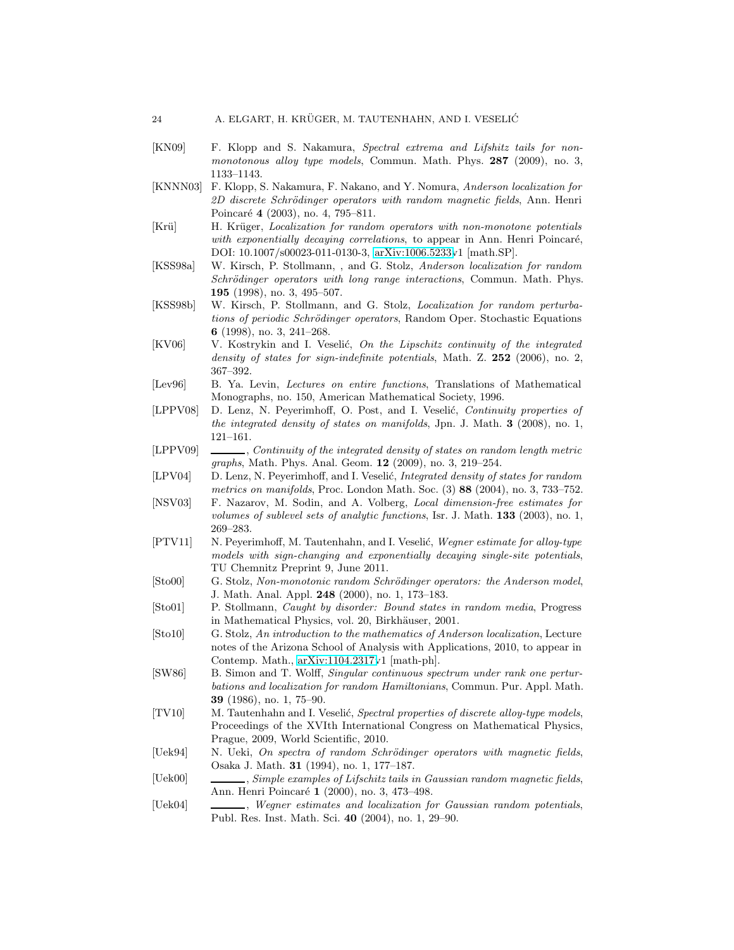- <span id="page-23-2"></span>[KN09] F. Klopp and S. Nakamura, Spectral extrema and Lifshitz tails for nonmonotonous alloy type models, Commun. Math. Phys. 287 (2009), no. 3, 1133–1143.
- <span id="page-23-9"></span>[KNNN03] F. Klopp, S. Nakamura, F. Nakano, and Y. Nomura, Anderson localization for  $2D$  discrete Schrödinger operators with random magnetic fields, Ann. Henri Poincaré 4 (2003), no. 4, 795–811.
- <span id="page-23-6"></span>[Krü] H. Krüger, *Localization for random operators with non-monotone potentials* with exponentially decaying correlations, to appear in Ann. Henri Poincaré, DOI: 10.1007/s00023-011-0130-3, [arXiv:1006.5233v](http://arxiv.org/abs/1006.5233)1 [math.SP].
- <span id="page-23-18"></span>[KSS98a] W. Kirsch, P. Stollmann, , and G. Stolz, Anderson localization for random Schrödinger operators with long range interactions, Commun. Math. Phys. 195 (1998), no. 3, 495–507.
- <span id="page-23-0"></span>[KSS98b] W. Kirsch, P. Stollmann, and G. Stolz, Localization for random perturbations of periodic Schrödinger operators, Random Oper. Stochastic Equations 6 (1998), no. 3, 241–268.
- <span id="page-23-4"></span>[KV06] V. Kostrykin and I. Veselić, On the Lipschitz continuity of the integrated density of states for sign-indefinite potentials, Math. Z. 252 (2006), no. 2, 367–392.
- <span id="page-23-16"></span>[Lev96] B. Ya. Levin, Lectures on entire functions, Translations of Mathematical Monographs, no. 150, American Mathematical Society, 1996.
- <span id="page-23-11"></span>[LPPV08] D. Lenz, N. Peyerimhoff, O. Post, and I. Veselić, Continuity properties of the integrated density of states on manifolds, Jpn. J. Math. 3 (2008), no. 1, 121–161.
- <span id="page-23-12"></span>[LPPV09] , Continuity of the integrated density of states on random length metric graphs, Math. Phys. Anal. Geom. 12 (2009), no. 3, 219–254.
- <span id="page-23-10"></span>[LPV04] D. Lenz, N. Peyerimhoff, and I. Veselić, *Integrated density of states for random* metrics on manifolds, Proc. London Math. Soc. (3) 88 (2004), no. 3, 733–752.
- <span id="page-23-17"></span>[NSV03] F. Nazarov, M. Sodin, and A. Volberg, Local dimension-free estimates for volumes of sublevel sets of analytic functions, Isr. J. Math. 133 (2003), no. 1, 269–283.
- <span id="page-23-15"></span>[PTV11] N. Peyerimhoff, M. Tautenhahn, and I. Veselić, Wegner estimate for alloy-type models with sign-changing and exponentially decaying single-site potentials, TU Chemnitz Preprint 9, June 2011.
- <span id="page-23-3"></span>[Sto00] G. Stolz, Non-monotonic random Schrödinger operators: the Anderson model, J. Math. Anal. Appl. 248 (2000), no. 1, 173–183.
- <span id="page-23-1"></span>[Sto01] P. Stollmann, Caught by disorder: Bound states in random media, Progress in Mathematical Physics, vol. 20, Birkhäuser, 2001.
- <span id="page-23-14"></span>[Sto10] G. Stolz, An introduction to the mathematics of Anderson localization, Lecture notes of the Arizona School of Analysis with Applications, 2010, to appear in Contemp. Math., [arXiv:1104.2317v](http://arxiv.org/abs/1104.2317)1 [math-ph].
- <span id="page-23-19"></span>[SW86] B. Simon and T. Wolff, Singular continuous spectrum under rank one perturbations and localization for random Hamiltonians, Commun. Pur. Appl. Math. 39 (1986), no. 1, 75–90.
- <span id="page-23-5"></span>[TV10] M. Tautenhahn and I. Veselić, Spectral properties of discrete alloy-type models, Proceedings of the XVIth International Congress on Mathematical Physics, Prague, 2009, World Scientific, 2010.
- <span id="page-23-7"></span>[Uek94] N. Ueki, On spectra of random Schrödinger operators with magnetic fields, Osaka J. Math. 31 (1994), no. 1, 177–187.
- <span id="page-23-8"></span>[Uek00] , Simple examples of Lifschitz tails in Gaussian random magnetic fields, Ann. Henri Poincaré 1 (2000), no. 3, 473-498.
- <span id="page-23-13"></span>[Uek04] , Wegner estimates and localization for Gaussian random potentials, Publ. Res. Inst. Math. Sci. 40 (2004), no. 1, 29–90.